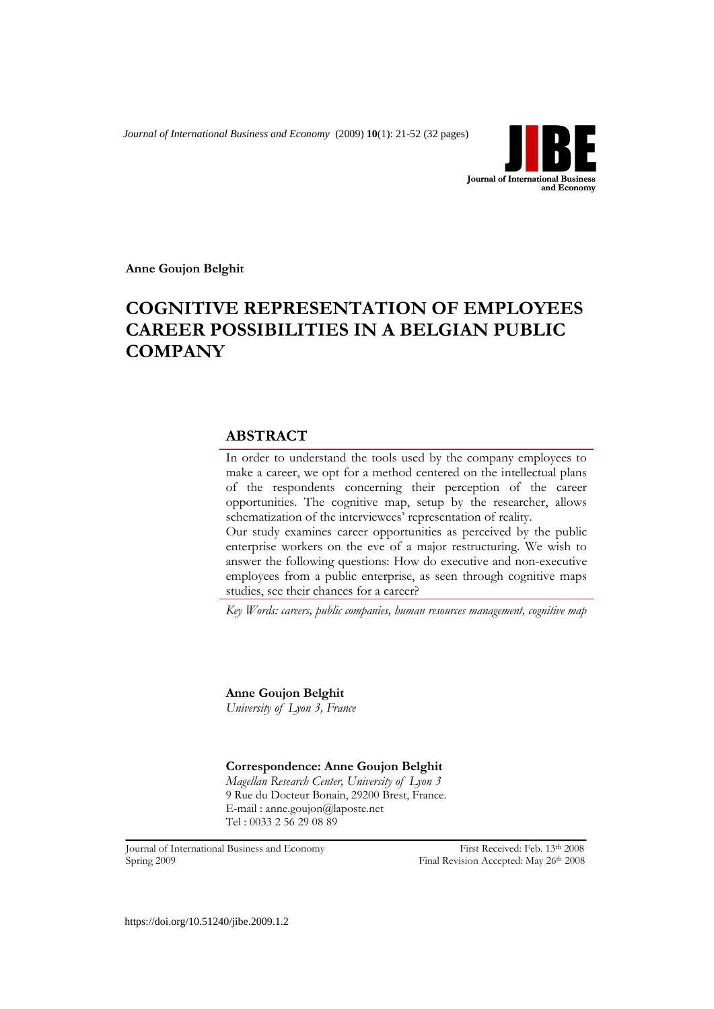*Journal of International Business and Economy* (2009) **10**(1): 21-52 (32 pages)



**Anne Goujon Belghit**

# **COGNITIVE REPRESENTATION OF EMPLOYEES CAREER POSSIBILITIES IN A BELGIAN PUBLIC COMPANY**

# **ABSTRACT**

In order to understand the tools used by the company employees to make a career, we opt for a method centered on the intellectual plans of the respondents concerning their perception of the career opportunities. The cognitive map, setup by the researcher, allows schematization of the interviewees' representation of reality. Our study examines career opportunities as perceived by the public enterprise workers on the eve of a major restructuring. We wish to

answer the following questions: How do executive and non-executive employees from a public enterprise, as seen through cognitive maps studies, see their chances for a career?

*Key Words: careers, public companies, human resources management, cognitive map*

**Anne Goujon Belghit** *University of Lyon 3, France*

### **Correspondence: Anne Goujon Belghit**

*Magellan Research Center, University of Lyon 3* 9 Rue du Docteur Bonain, 29200 Brest, France. E-mail : [anne.goujon@laposte.net](mailto:anne.goujon@laposte.net) Tel : 0033 2 56 29 08 89

Journal of International Business and Economy First Received: Feb. 13th 2008 Spring 2009 Final Revision Accepted: May 26th 2008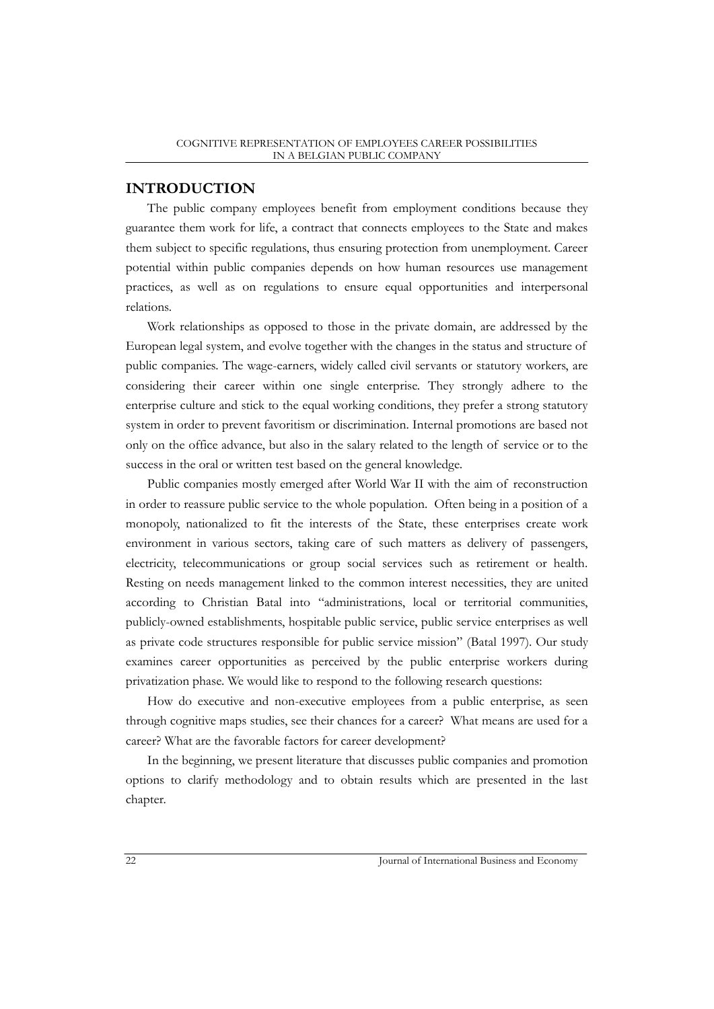# **INTRODUCTION**

The public company employees benefit from employment conditions because they guarantee them work for life, a contract that connects employees to the State and makes them subject to specific regulations, thus ensuring protection from unemployment. Career potential within public companies depends on how human resources use management practices, as well as on regulations to ensure equal opportunities and interpersonal relations.

Work relationships as opposed to those in the private domain, are addressed by the European legal system, and evolve together with the changes in the status and structure of public companies. The wage-earners, widely called civil servants or statutory workers, are considering their career within one single enterprise. They strongly adhere to the enterprise culture and stick to the equal working conditions, they prefer a strong statutory system in order to prevent favoritism or discrimination. Internal promotions are based not only on the office advance, but also in the salary related to the length of service or to the success in the oral or written test based on the general knowledge.

Public companies mostly emerged after World War II with the aim of reconstruction in order to reassure public service to the whole population. Often being in a position of a monopoly, nationalized to fit the interests of the State, these enterprises create work environment in various sectors, taking care of such matters as delivery of passengers, electricity, telecommunications or group social services such as retirement or health. Resting on needs management linked to the common interest necessities, they are united according to Christian Batal into "administrations, local or territorial communities, publicly-owned establishments, hospitable public service, public service enterprises as well as private code structures responsible for public service mission" (Batal 1997). Our study examines career opportunities as perceived by the public enterprise workers during privatization phase. We would like to respond to the following research questions:

How do executive and non-executive employees from a public enterprise, as seen through cognitive maps studies, see their chances for a career? What means are used for a career? What are the favorable factors for career development?

In the beginning, we present literature that discusses public companies and promotion options to clarify methodology and to obtain results which are presented in the last chapter.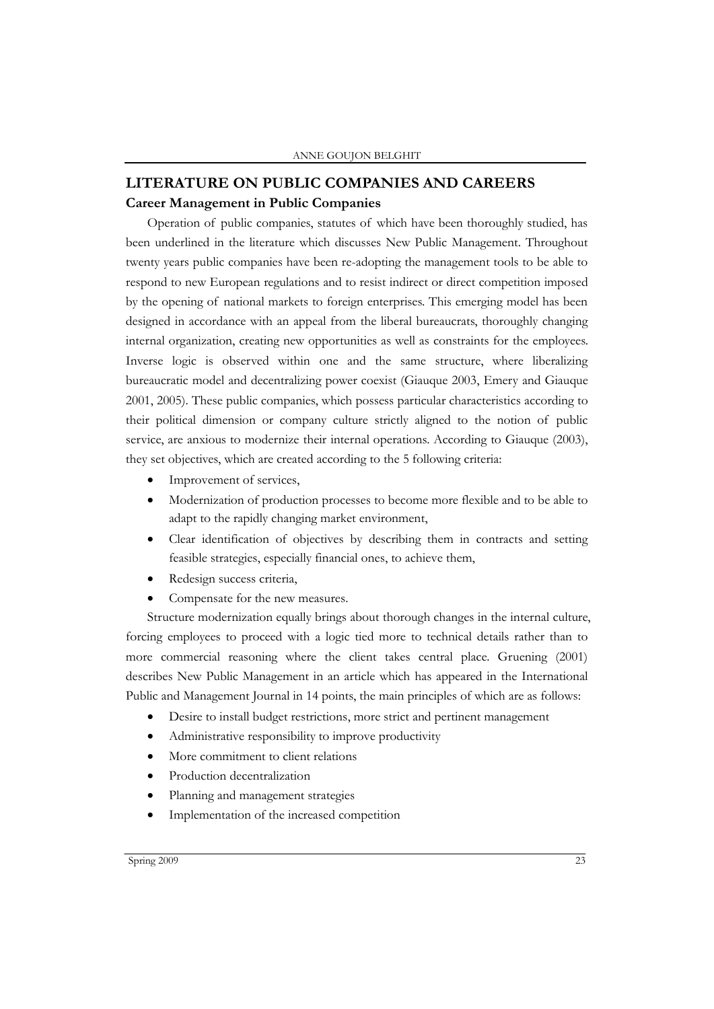# **LITERATURE ON PUBLIC COMPANIES AND CAREERS Career Management in Public Companies**

Operation of public companies, statutes of which have been thoroughly studied, has been underlined in the literature which discusses New Public Management. Throughout twenty years public companies have been re-adopting the management tools to be able to respond to new European regulations and to resist indirect or direct competition imposed by the opening of national markets to foreign enterprises. This emerging model has been designed in accordance with an appeal from the liberal bureaucrats, thoroughly changing internal organization, creating new opportunities as well as constraints for the employees. Inverse logic is observed within one and the same structure, where liberalizing bureaucratic model and decentralizing power coexist (Giauque 2003, Emery and Giauque 2001, 2005). These public companies, which possess particular characteristics according to their political dimension or company culture strictly aligned to the notion of public service, are anxious to modernize their internal operations. According to Giauque (2003), they set objectives, which are created according to the 5 following criteria:

- Improvement of services,
- Modernization of production processes to become more flexible and to be able to adapt to the rapidly changing market environment,
- Clear identification of objectives by describing them in contracts and setting feasible strategies, especially financial ones, to achieve them,
- Redesign success criteria,
- Compensate for the new measures.

Structure modernization equally brings about thorough changes in the internal culture, forcing employees to proceed with a logic tied more to technical details rather than to more commercial reasoning where the client takes central place. Gruening (2001) describes New Public Management in an article which has appeared in the International Public and Management Journal in 14 points, the main principles of which are as follows:

- Desire to install budget restrictions, more strict and pertinent management
- Administrative responsibility to improve productivity
- More commitment to client relations
- Production decentralization
- Planning and management strategies
- Implementation of the increased competition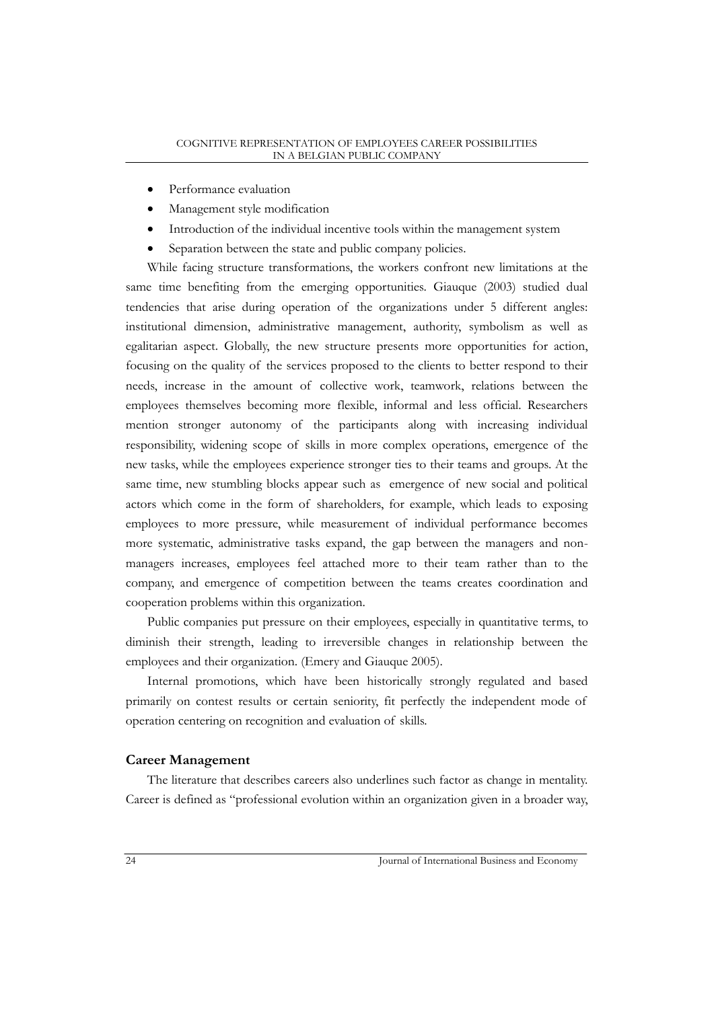- Performance evaluation
- Management style modification
- Introduction of the individual incentive tools within the management system
- Separation between the state and public company policies.

While facing structure transformations, the workers confront new limitations at the same time benefiting from the emerging opportunities. Giauque (2003) studied dual tendencies that arise during operation of the organizations under 5 different angles: institutional dimension, administrative management, authority, symbolism as well as egalitarian aspect. Globally, the new structure presents more opportunities for action, focusing on the quality of the services proposed to the clients to better respond to their needs, increase in the amount of collective work, teamwork, relations between the employees themselves becoming more flexible, informal and less official. Researchers mention stronger autonomy of the participants along with increasing individual responsibility, widening scope of skills in more complex operations, emergence of the new tasks, while the employees experience stronger ties to their teams and groups. At the same time, new stumbling blocks appear such as emergence of new social and political actors which come in the form of shareholders, for example, which leads to exposing employees to more pressure, while measurement of individual performance becomes more systematic, administrative tasks expand, the gap between the managers and nonmanagers increases, employees feel attached more to their team rather than to the company, and emergence of competition between the teams creates coordination and cooperation problems within this organization.

Public companies put pressure on their employees, especially in quantitative terms, to diminish their strength, leading to irreversible changes in relationship between the employees and their organization. (Emery and Giauque 2005).

Internal promotions, which have been historically strongly regulated and based primarily on contest results or certain seniority, fit perfectly the independent mode of operation centering on recognition and evaluation of skills.

## **Career Management**

The literature that describes careers also underlines such factor as change in mentality. Career is defined as "professional evolution within an organization given in a broader way,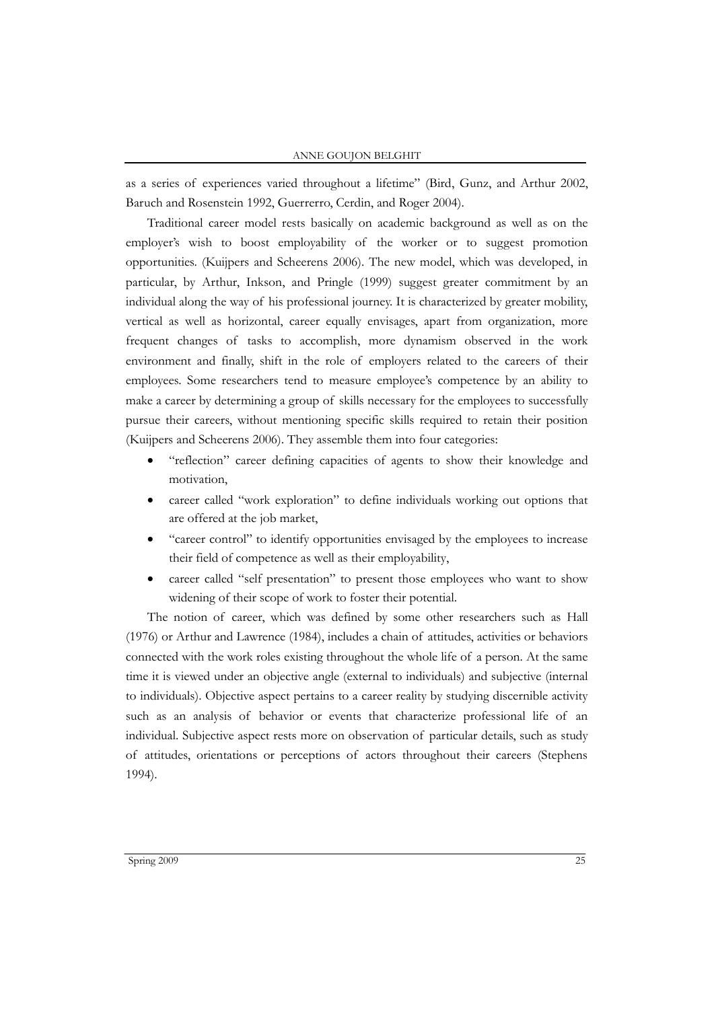as a series of experiences varied throughout a lifetime" (Bird, Gunz, and Arthur 2002, Baruch and Rosenstein 1992, Guerrerro, Cerdin, and Roger 2004).

Traditional career model rests basically on academic background as well as on the employer's wish to boost employability of the worker or to suggest promotion opportunities. (Kuijpers and Scheerens 2006). The new model, which was developed, in particular, by Arthur, Inkson, and Pringle (1999) suggest greater commitment by an individual along the way of his professional journey. It is characterized by greater mobility, vertical as well as horizontal, career equally envisages, apart from organization, more frequent changes of tasks to accomplish, more dynamism observed in the work environment and finally, shift in the role of employers related to the careers of their employees. Some researchers tend to measure employee's competence by an ability to make a career by determining a group of skills necessary for the employees to successfully pursue their careers, without mentioning specific skills required to retain their position (Kuijpers and Scheerens 2006). They assemble them into four categories:

- "reflection" career defining capacities of agents to show their knowledge and motivation,
- career called "work exploration" to define individuals working out options that are offered at the job market,
- "career control" to identify opportunities envisaged by the employees to increase their field of competence as well as their employability,
- career called "self presentation" to present those employees who want to show widening of their scope of work to foster their potential.

The notion of career, which was defined by some other researchers such as Hall (1976) or Arthur and Lawrence (1984), includes a chain of attitudes, activities or behaviors connected with the work roles existing throughout the whole life of a person. At the same time it is viewed under an objective angle (external to individuals) and subjective (internal to individuals). Objective aspect pertains to a career reality by studying discernible activity such as an analysis of behavior or events that characterize professional life of an individual. Subjective aspect rests more on observation of particular details, such as study of attitudes, orientations or perceptions of actors throughout their careers (Stephens 1994).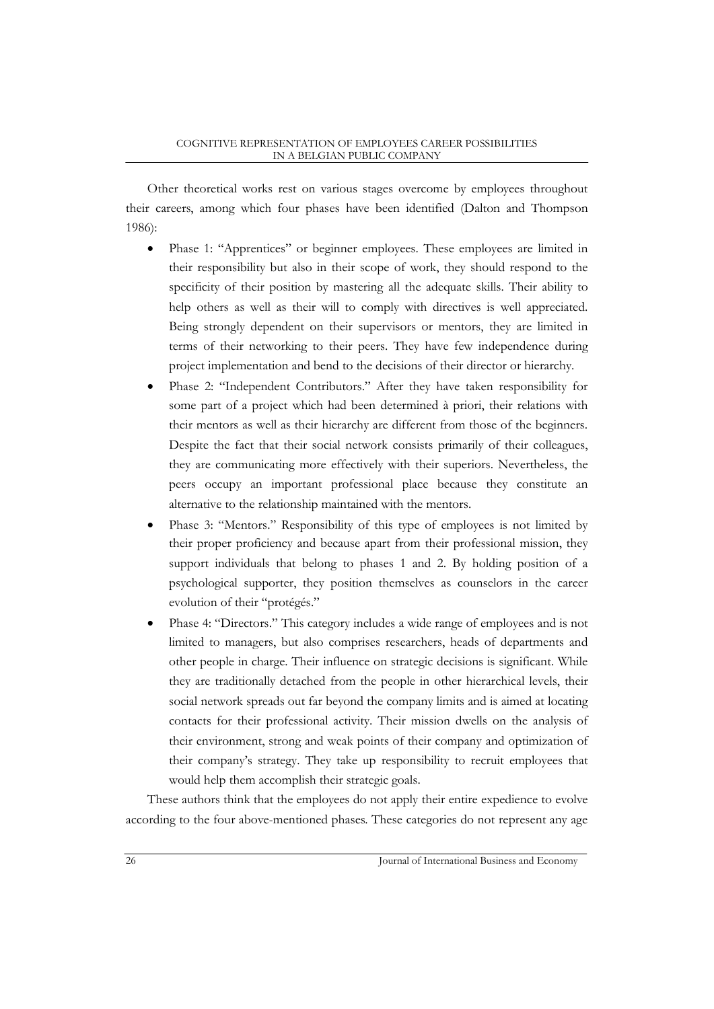Other theoretical works rest on various stages overcome by employees throughout their careers, among which four phases have been identified (Dalton and Thompson 1986):

- Phase 1: "Apprentices" or beginner employees. These employees are limited in their responsibility but also in their scope of work, they should respond to the specificity of their position by mastering all the adequate skills. Their ability to help others as well as their will to comply with directives is well appreciated. Being strongly dependent on their supervisors or mentors, they are limited in terms of their networking to their peers. They have few independence during project implementation and bend to the decisions of their director or hierarchy.
- Phase 2: "Independent Contributors." After they have taken responsibility for some part of a project which had been determined à priori, their relations with their mentors as well as their hierarchy are different from those of the beginners. Despite the fact that their social network consists primarily of their colleagues, they are communicating more effectively with their superiors. Nevertheless, the peers occupy an important professional place because they constitute an alternative to the relationship maintained with the mentors.
- Phase 3: "Mentors." Responsibility of this type of employees is not limited by their proper proficiency and because apart from their professional mission, they support individuals that belong to phases 1 and 2. By holding position of a psychological supporter, they position themselves as counselors in the career evolution of their "protégés."
- Phase 4: "Directors." This category includes a wide range of employees and is not limited to managers, but also comprises researchers, heads of departments and other people in charge. Their influence on strategic decisions is significant. While they are traditionally detached from the people in other hierarchical levels, their social network spreads out far beyond the company limits and is aimed at locating contacts for their professional activity. Their mission dwells on the analysis of their environment, strong and weak points of their company and optimization of their company's strategy. They take up responsibility to recruit employees that would help them accomplish their strategic goals.

These authors think that the employees do not apply their entire expedience to evolve according to the four above-mentioned phases. These categories do not represent any age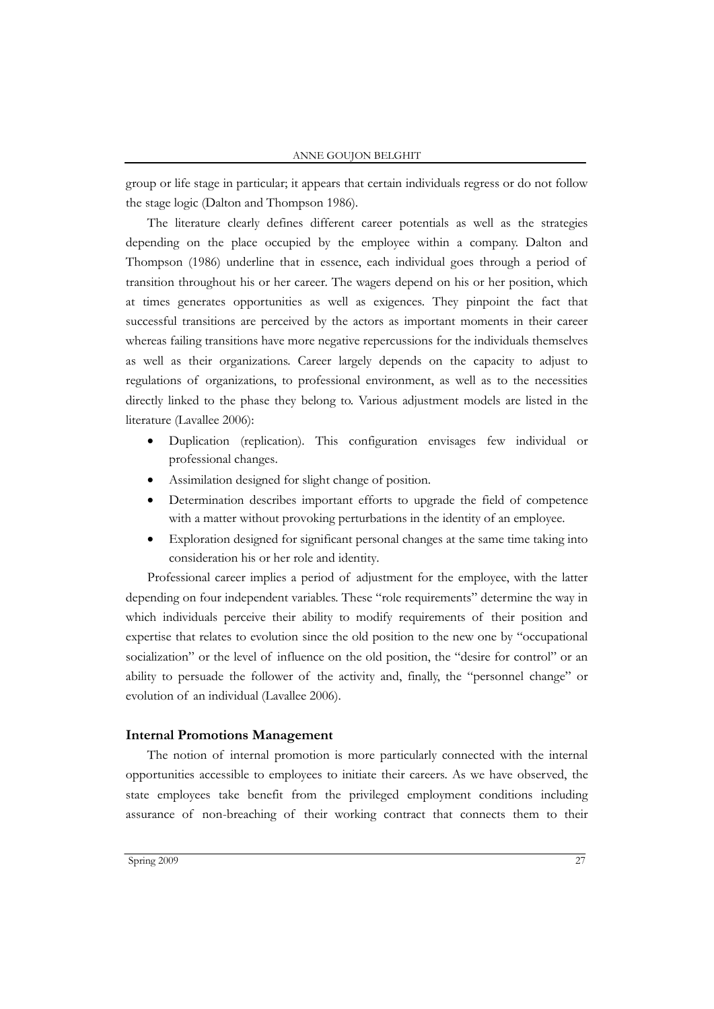group or life stage in particular; it appears that certain individuals regress or do not follow the stage logic (Dalton and Thompson 1986).

The literature clearly defines different career potentials as well as the strategies depending on the place occupied by the employee within a company. Dalton and Thompson (1986) underline that in essence, each individual goes through a period of transition throughout his or her career. The wagers depend on his or her position, which at times generates opportunities as well as exigences. They pinpoint the fact that successful transitions are perceived by the actors as important moments in their career whereas failing transitions have more negative repercussions for the individuals themselves as well as their organizations. Career largely depends on the capacity to adjust to regulations of organizations, to professional environment, as well as to the necessities directly linked to the phase they belong to. Various adjustment models are listed in the literature (Lavallee 2006):

- Duplication (replication). This configuration envisages few individual or professional changes.
- Assimilation designed for slight change of position.
- Determination describes important efforts to upgrade the field of competence with a matter without provoking perturbations in the identity of an employee.
- Exploration designed for significant personal changes at the same time taking into consideration his or her role and identity.

Professional career implies a period of adjustment for the employee, with the latter depending on four independent variables. These "role requirements" determine the way in which individuals perceive their ability to modify requirements of their position and expertise that relates to evolution since the old position to the new one by "occupational socialization" or the level of influence on the old position, the "desire for control" or an ability to persuade the follower of the activity and, finally, the "personnel change" or evolution of an individual (Lavallee 2006).

#### **Internal Promotions Management**

The notion of internal promotion is more particularly connected with the internal opportunities accessible to employees to initiate their careers. As we have observed, the state employees take benefit from the privileged employment conditions including assurance of non-breaching of their working contract that connects them to their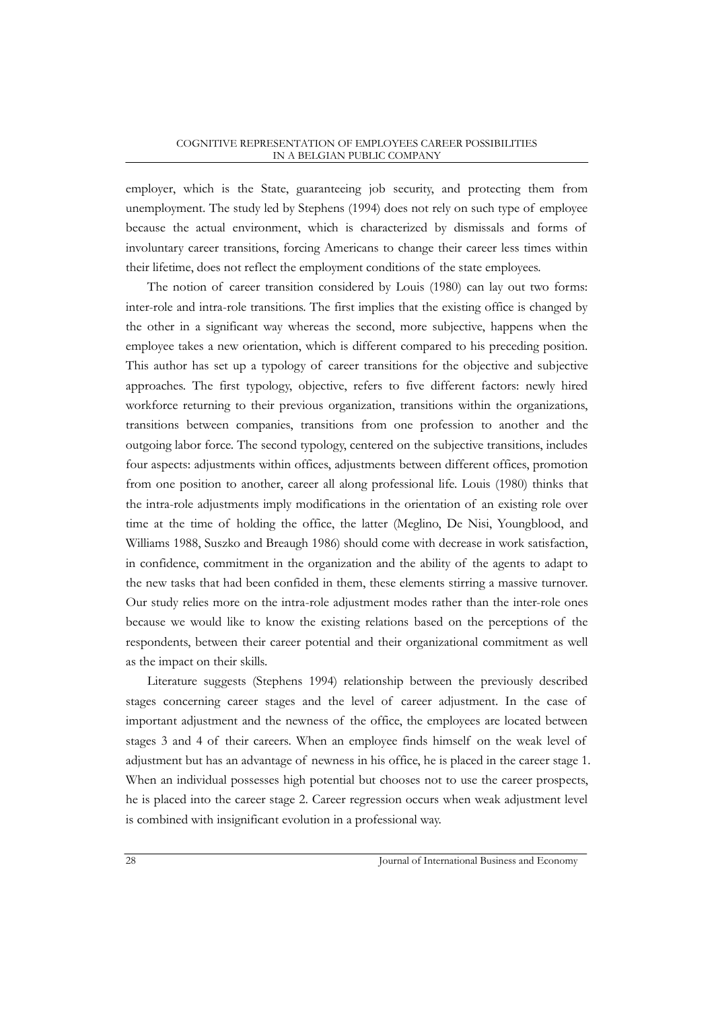employer, which is the State, guaranteeing job security, and protecting them from unemployment. The study led by Stephens (1994) does not rely on such type of employee because the actual environment, which is characterized by dismissals and forms of involuntary career transitions, forcing Americans to change their career less times within their lifetime, does not reflect the employment conditions of the state employees.

The notion of career transition considered by Louis (1980) can lay out two forms: inter-role and intra-role transitions. The first implies that the existing office is changed by the other in a significant way whereas the second, more subjective, happens when the employee takes a new orientation, which is different compared to his preceding position. This author has set up a typology of career transitions for the objective and subjective approaches. The first typology, objective, refers to five different factors: newly hired workforce returning to their previous organization, transitions within the organizations, transitions between companies, transitions from one profession to another and the outgoing labor force. The second typology, centered on the subjective transitions, includes four aspects: adjustments within offices, adjustments between different offices, promotion from one position to another, career all along professional life. Louis (1980) thinks that the intra-role adjustments imply modifications in the orientation of an existing role over time at the time of holding the office, the latter (Meglino, De Nisi, Youngblood, and Williams 1988, Suszko and Breaugh 1986) should come with decrease in work satisfaction, in confidence, commitment in the organization and the ability of the agents to adapt to the new tasks that had been confided in them, these elements stirring a massive turnover. Our study relies more on the intra-role adjustment modes rather than the inter-role ones because we would like to know the existing relations based on the perceptions of the respondents, between their career potential and their organizational commitment as well as the impact on their skills.

Literature suggests (Stephens 1994) relationship between the previously described stages concerning career stages and the level of career adjustment. In the case of important adjustment and the newness of the office, the employees are located between stages 3 and 4 of their careers. When an employee finds himself on the weak level of adjustment but has an advantage of newness in his office, he is placed in the career stage 1. When an individual possesses high potential but chooses not to use the career prospects, he is placed into the career stage 2. Career regression occurs when weak adjustment level is combined with insignificant evolution in a professional way.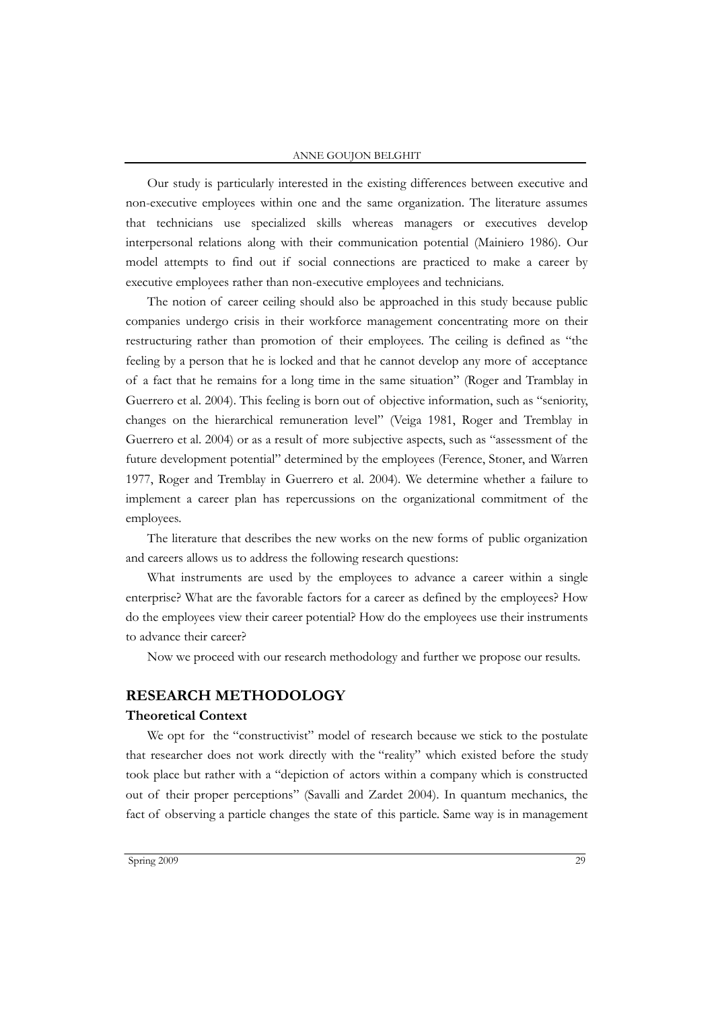#### ANNE GOUJON BELGHIT

Our study is particularly interested in the existing differences between executive and non-executive employees within one and the same organization. The literature assumes that technicians use specialized skills whereas managers or executives develop interpersonal relations along with their communication potential (Mainiero 1986). Our model attempts to find out if social connections are practiced to make a career by executive employees rather than non-executive employees and technicians.

The notion of career ceiling should also be approached in this study because public companies undergo crisis in their workforce management concentrating more on their restructuring rather than promotion of their employees. The ceiling is defined as "the feeling by a person that he is locked and that he cannot develop any more of acceptance of a fact that he remains for a long time in the same situation" (Roger and Tramblay in Guerrero et al. 2004). This feeling is born out of objective information, such as "seniority, changes on the hierarchical remuneration level" (Veiga 1981, Roger and Tremblay in Guerrero et al. 2004) or as a result of more subjective aspects, such as "assessment of the future development potential" determined by the employees (Ference, Stoner, and Warren 1977, Roger and Tremblay in Guerrero et al. 2004). We determine whether a failure to implement a career plan has repercussions on the organizational commitment of the employees.

The literature that describes the new works on the new forms of public organization and careers allows us to address the following research questions:

What instruments are used by the employees to advance a career within a single enterprise? What are the favorable factors for a career as defined by the employees? How do the employees view their career potential? How do the employees use their instruments to advance their career?

Now we proceed with our research methodology and further we propose our results.

#### **RESEARCH METHODOLOGY**

## **Theoretical Context**

We opt for the "constructivist" model of research because we stick to the postulate that researcher does not work directly with the "reality" which existed before the study took place but rather with a "depiction of actors within a company which is constructed out of their proper perceptions" (Savalli and Zardet 2004). In quantum mechanics, the fact of observing a particle changes the state of this particle. Same way is in management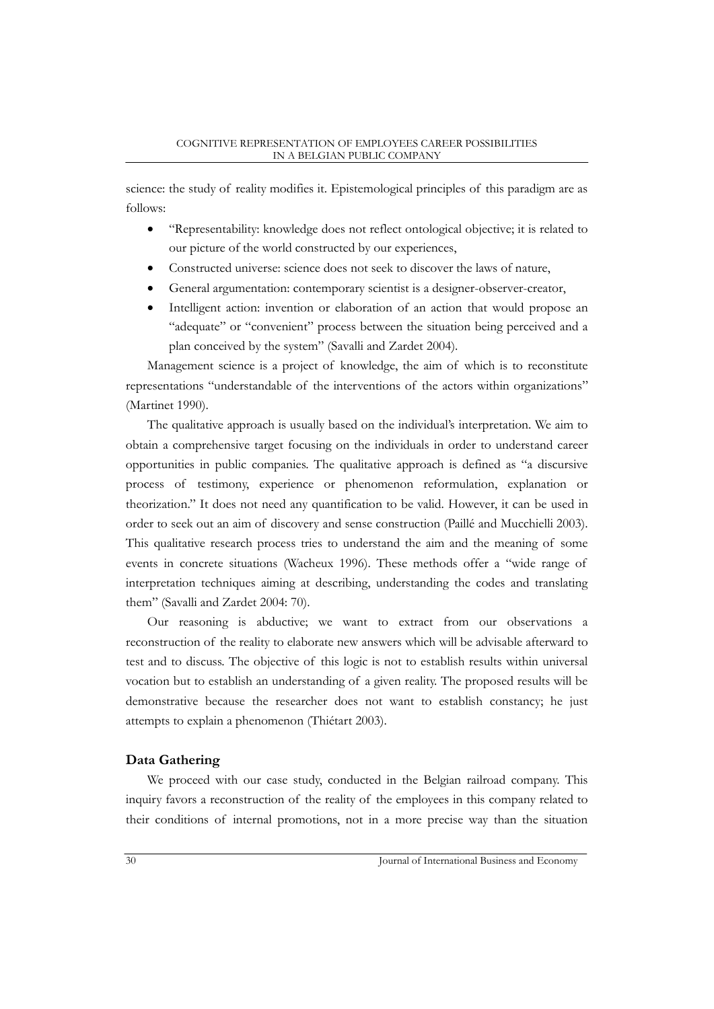science: the study of reality modifies it. Epistemological principles of this paradigm are as follows:

- "Representability: knowledge does not reflect ontological objective; it is related to our picture of the world constructed by our experiences,
- Constructed universe: science does not seek to discover the laws of nature,
- General argumentation: contemporary scientist is a designer-observer-creator,
- Intelligent action: invention or elaboration of an action that would propose an "adequate" or "convenient" process between the situation being perceived and a plan conceived by the system" (Savalli and Zardet 2004).

Management science is a project of knowledge, the aim of which is to reconstitute representations "understandable of the interventions of the actors within organizations" (Martinet 1990).

The qualitative approach is usually based on the individual's interpretation. We aim to obtain a comprehensive target focusing on the individuals in order to understand career opportunities in public companies. The qualitative approach is defined as "a discursive process of testimony, experience or phenomenon reformulation, explanation or theorization." It does not need any quantification to be valid. However, it can be used in order to seek out an aim of discovery and sense construction (Paillé and Mucchielli 2003). This qualitative research process tries to understand the aim and the meaning of some events in concrete situations (Wacheux 1996). These methods offer a "wide range of interpretation techniques aiming at describing, understanding the codes and translating them" (Savalli and Zardet 2004: 70).

Our reasoning is abductive; we want to extract from our observations a reconstruction of the reality to elaborate new answers which will be advisable afterward to test and to discuss. The objective of this logic is not to establish results within universal vocation but to establish an understanding of a given reality. The proposed results will be demonstrative because the researcher does not want to establish constancy; he just attempts to explain a phenomenon (Thiétart 2003).

# **Data Gathering**

We proceed with our case study, conducted in the Belgian railroad company. This inquiry favors a reconstruction of the reality of the employees in this company related to their conditions of internal promotions, not in a more precise way than the situation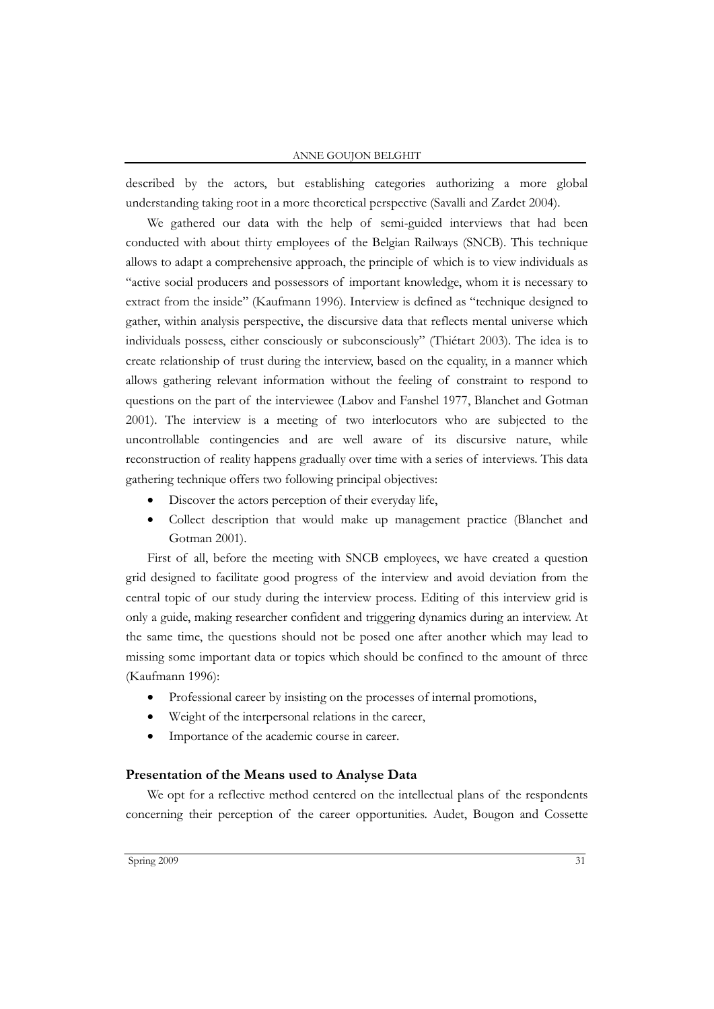#### ANNE GOUJON BELGHIT

described by the actors, but establishing categories authorizing a more global understanding taking root in a more theoretical perspective (Savalli and Zardet 2004).

We gathered our data with the help of semi-guided interviews that had been conducted with about thirty employees of the Belgian Railways (SNCB). This technique allows to adapt a comprehensive approach, the principle of which is to view individuals as "active social producers and possessors of important knowledge, whom it is necessary to extract from the inside" (Kaufmann 1996). Interview is defined as "technique designed to gather, within analysis perspective, the discursive data that reflects mental universe which individuals possess, either consciously or subconsciously" (Thiétart 2003). The idea is to create relationship of trust during the interview, based on the equality, in a manner which allows gathering relevant information without the feeling of constraint to respond to questions on the part of the interviewee (Labov and Fanshel 1977, Blanchet and Gotman 2001). The interview is a meeting of two interlocutors who are subjected to the uncontrollable contingencies and are well aware of its discursive nature, while reconstruction of reality happens gradually over time with a series of interviews. This data gathering technique offers two following principal objectives:

- Discover the actors perception of their everyday life,
- Collect description that would make up management practice (Blanchet and Gotman 2001).

First of all, before the meeting with SNCB employees, we have created a question grid designed to facilitate good progress of the interview and avoid deviation from the central topic of our study during the interview process. Editing of this interview grid is only a guide, making researcher confident and triggering dynamics during an interview. At the same time, the questions should not be posed one after another which may lead to missing some important data or topics which should be confined to the amount of three (Kaufmann 1996):

- Professional career by insisting on the processes of internal promotions,
- Weight of the interpersonal relations in the career,
- Importance of the academic course in career.

#### **Presentation of the Means used to Analyse Data**

We opt for a reflective method centered on the intellectual plans of the respondents concerning their perception of the career opportunities. Audet, Bougon and Cossette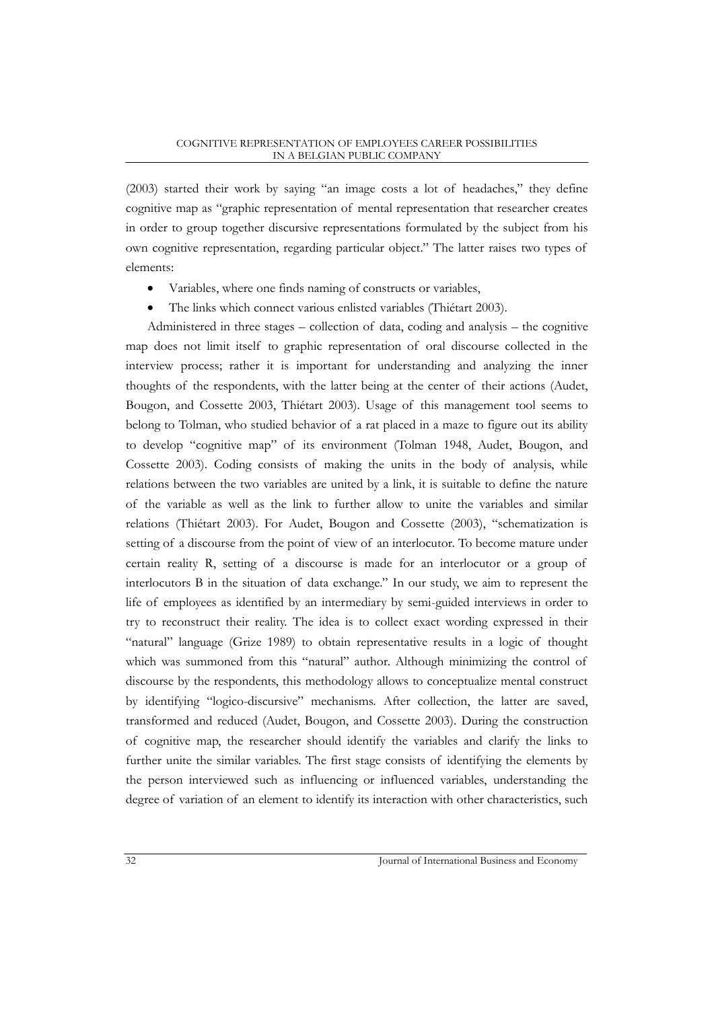(2003) started their work by saying "an image costs a lot of headaches," they define cognitive map as "graphic representation of mental representation that researcher creates in order to group together discursive representations formulated by the subject from his own cognitive representation, regarding particular object." The latter raises two types of elements:

- Variables, where one finds naming of constructs or variables,
- The links which connect various enlisted variables (Thiétart 2003).

Administered in three stages – collection of data, coding and analysis – the cognitive map does not limit itself to graphic representation of oral discourse collected in the interview process; rather it is important for understanding and analyzing the inner thoughts of the respondents, with the latter being at the center of their actions (Audet, Bougon, and Cossette 2003, Thiétart 2003). Usage of this management tool seems to belong to Tolman, who studied behavior of a rat placed in a maze to figure out its ability to develop "cognitive map" of its environment (Tolman 1948, Audet, Bougon, and Cossette 2003). Coding consists of making the units in the body of analysis, while relations between the two variables are united by a link, it is suitable to define the nature of the variable as well as the link to further allow to unite the variables and similar relations (Thiétart 2003). For Audet, Bougon and Cossette (2003), "schematization is setting of a discourse from the point of view of an interlocutor. To become mature under certain reality R, setting of a discourse is made for an interlocutor or a group of interlocutors B in the situation of data exchange." In our study, we aim to represent the life of employees as identified by an intermediary by semi-guided interviews in order to try to reconstruct their reality. The idea is to collect exact wording expressed in their "natural" language (Grize 1989) to obtain representative results in a logic of thought which was summoned from this "natural" author. Although minimizing the control of discourse by the respondents, this methodology allows to conceptualize mental construct by identifying "logico-discursive" mechanisms. After collection, the latter are saved, transformed and reduced (Audet, Bougon, and Cossette 2003). During the construction of cognitive map, the researcher should identify the variables and clarify the links to further unite the similar variables. The first stage consists of identifying the elements by the person interviewed such as influencing or influenced variables, understanding the degree of variation of an element to identify its interaction with other characteristics, such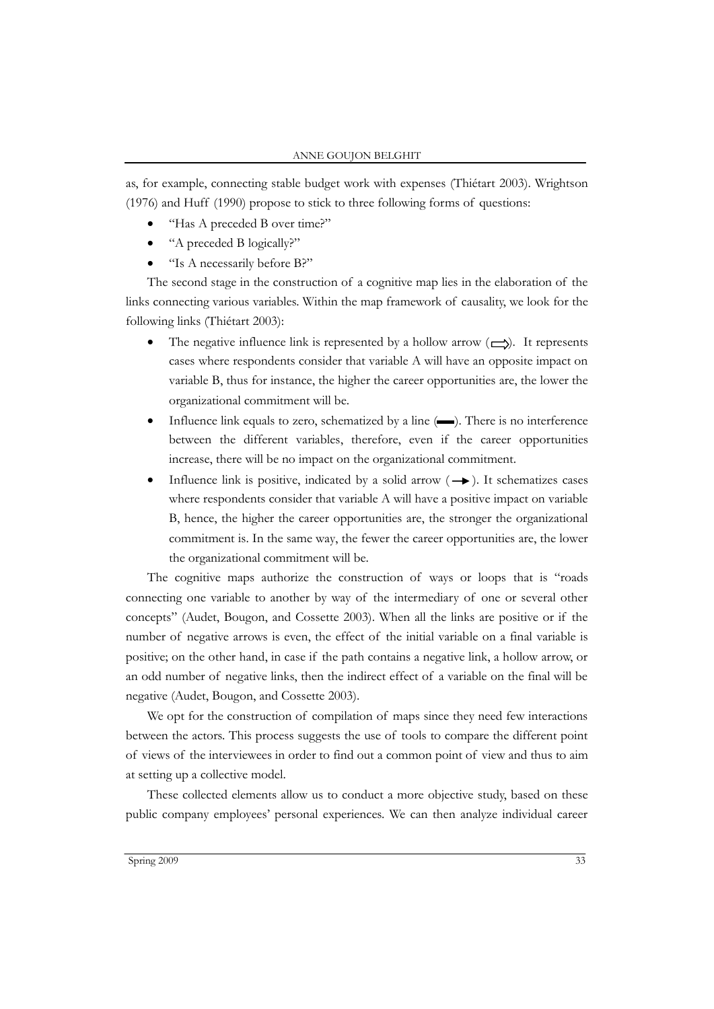as, for example, connecting stable budget work with expenses (Thiétart 2003). Wrightson (1976) and Huff (1990) propose to stick to three following forms of questions:

- "Has A preceded B over time?"
- "A preceded B logically?"
- "Is A necessarily before B?"

The second stage in the construction of a cognitive map lies in the elaboration of the links connecting various variables. Within the map framework of causality, we look for the following links (Thiétart 2003):

- The negative influence link is represented by a hollow arrow  $(\rightarrow)$ . It represents cases where respondents consider that variable A will have an opposite impact on variable B, thus for instance, the higher the career opportunities are, the lower the organizational commitment will be.
- Influence link equals to zero, schematized by a line  $(\blacksquare)$ . There is no interference between the different variables, therefore, even if the career opportunities increase, there will be no impact on the organizational commitment.
- Influence link is positive, indicated by a solid arrow  $( \rightarrow )$ . It schematizes cases where respondents consider that variable A will have a positive impact on variable B, hence, the higher the career opportunities are, the stronger the organizational commitment is. In the same way, the fewer the career opportunities are, the lower the organizational commitment will be.

The cognitive maps authorize the construction of ways or loops that is "roads connecting one variable to another by way of the intermediary of one or several other concepts" (Audet, Bougon, and Cossette 2003). When all the links are positive or if the number of negative arrows is even, the effect of the initial variable on a final variable is positive; on the other hand, in case if the path contains a negative link, a hollow arrow, or an odd number of negative links, then the indirect effect of a variable on the final will be negative (Audet, Bougon, and Cossette 2003).

We opt for the construction of compilation of maps since they need few interactions between the actors. This process suggests the use of tools to compare the different point of views of the interviewees in order to find out a common point of view and thus to aim at setting up a collective model.

These collected elements allow us to conduct a more objective study, based on these public company employees' personal experiences. We can then analyze individual career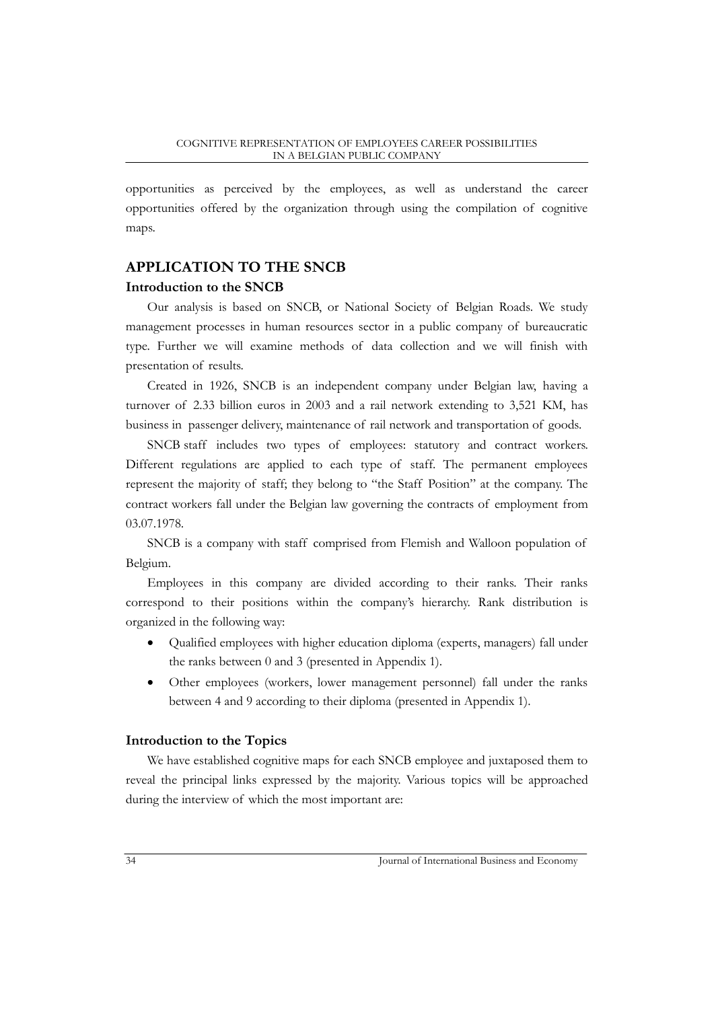opportunities as perceived by the employees, as well as understand the career opportunities offered by the organization through using the compilation of cognitive maps.

# **APPLICATION TO THE SNCB Introduction to the SNCB**

Our analysis is based on SNCB, or National Society of Belgian Roads. We study management processes in human resources sector in a public company of bureaucratic type. Further we will examine methods of data collection and we will finish with presentation of results.

Created in 1926, SNCB is an independent company under Belgian law, having a turnover of 2.33 billion euros in 2003 and a rail network extending to 3,521 KM, has business in passenger delivery, maintenance of rail network and transportation of goods.

SNCB staff includes two types of employees: statutory and contract workers. Different regulations are applied to each type of staff. The permanent employees represent the majority of staff; they belong to "the Staff Position" at the company. The contract workers fall under the Belgian law governing the contracts of employment from 03.07.1978.

SNCB is a company with staff comprised from Flemish and Walloon population of Belgium.

Employees in this company are divided according to their ranks. Their ranks correspond to their positions within the company's hierarchy. Rank distribution is organized in the following way:

- Qualified employees with higher education diploma (experts, managers) fall under the ranks between 0 and 3 (presented in Appendix 1).
- Other employees (workers, lower management personnel) fall under the ranks between 4 and 9 according to their diploma (presented in Appendix 1).

# **Introduction to the Topics**

We have established cognitive maps for each SNCB employee and juxtaposed them to reveal the principal links expressed by the majority. Various topics will be approached during the interview of which the most important are: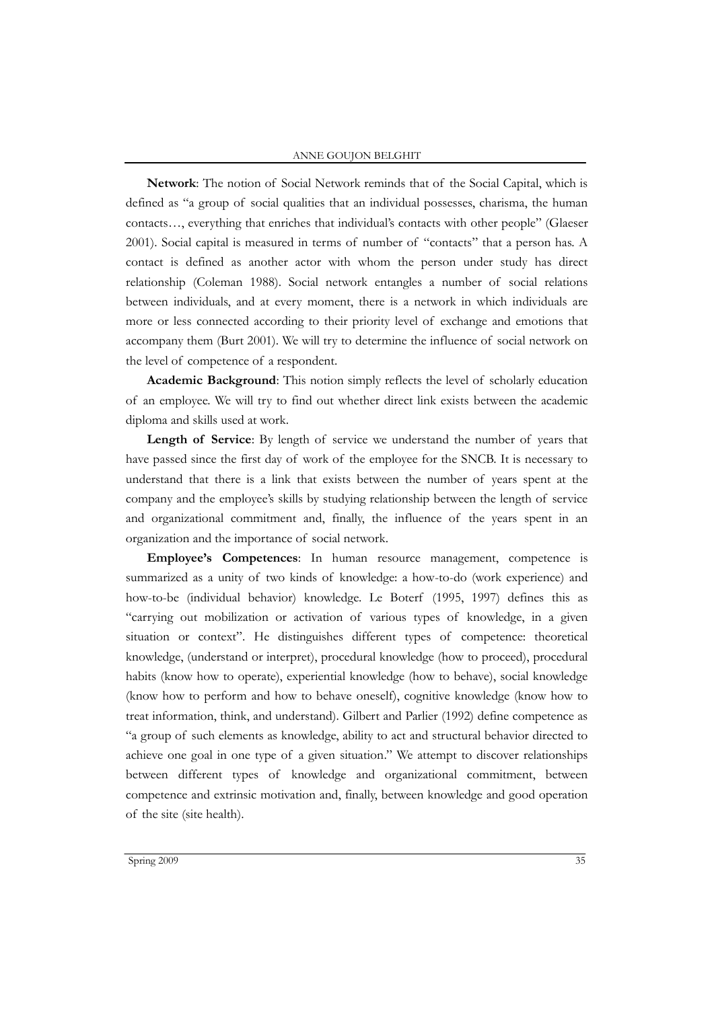#### ANNE GOUJON BELGHIT

**Network**: The notion of Social Network reminds that of the Social Capital, which is defined as "a group of social qualities that an individual possesses, charisma, the human contacts…, everything that enriches that individual's contacts with other people" (Glaeser 2001). Social capital is measured in terms of number of "contacts" that a person has. A contact is defined as another actor with whom the person under study has direct relationship (Coleman 1988). Social network entangles a number of social relations between individuals, and at every moment, there is a network in which individuals are more or less connected according to their priority level of exchange and emotions that accompany them (Burt 2001). We will try to determine the influence of social network on the level of competence of a respondent.

**Academic Background**: This notion simply reflects the level of scholarly education of an employee. We will try to find out whether direct link exists between the academic diploma and skills used at work.

Length of Service: By length of service we understand the number of years that have passed since the first day of work of the employee for the SNCB. It is necessary to understand that there is a link that exists between the number of years spent at the company and the employee's skills by studying relationship between the length of service and organizational commitment and, finally, the influence of the years spent in an organization and the importance of social network.

**Employee's Competences**: In human resource management, competence is summarized as a unity of two kinds of knowledge: a how-to-do (work experience) and how-to-be (individual behavior) knowledge. Le Boterf (1995, 1997) defines this as "carrying out mobilization or activation of various types of knowledge, in a given situation or context". He distinguishes different types of competence: theoretical knowledge, (understand or interpret), procedural knowledge (how to proceed), procedural habits (know how to operate), experiential knowledge (how to behave), social knowledge (know how to perform and how to behave oneself), cognitive knowledge (know how to treat information, think, and understand). Gilbert and Parlier (1992) define competence as "a group of such elements as knowledge, ability to act and structural behavior directed to achieve one goal in one type of a given situation." We attempt to discover relationships between different types of knowledge and organizational commitment, between competence and extrinsic motivation and, finally, between knowledge and good operation of the site (site health).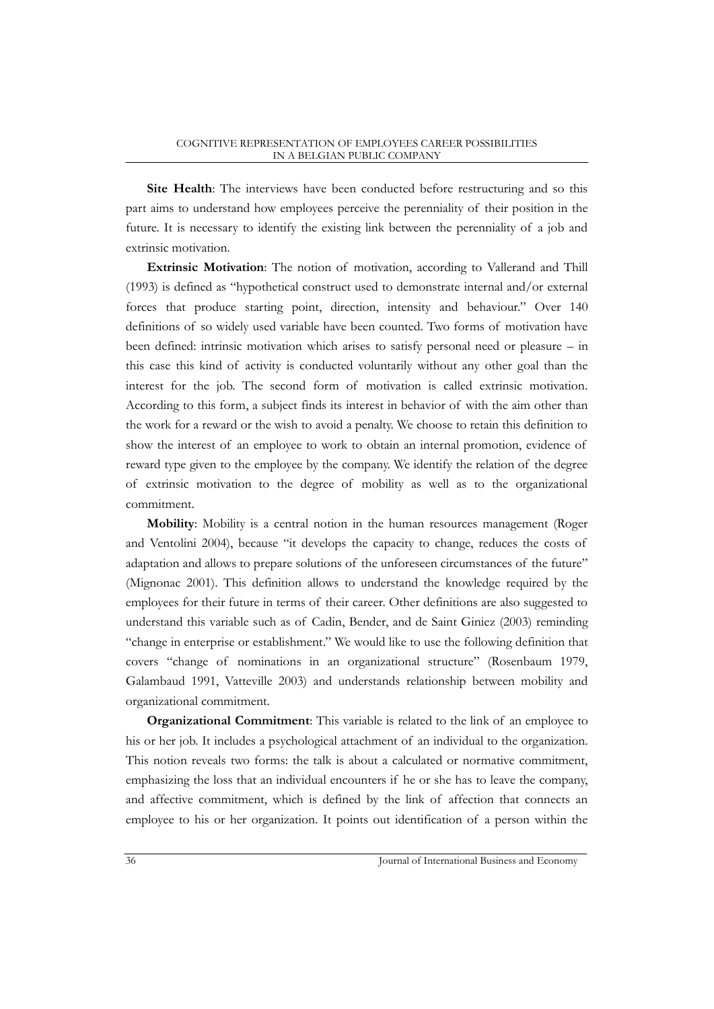**Site Health**: The interviews have been conducted before restructuring and so this part aims to understand how employees perceive the perenniality of their position in the future. It is necessary to identify the existing link between the perenniality of a job and extrinsic motivation.

**Extrinsic Motivation**: The notion of motivation, according to Vallerand and Thill (1993) is defined as "hypothetical construct used to demonstrate internal and/or external forces that produce starting point, direction, intensity and behaviour." Over 140 definitions of so widely used variable have been counted. Two forms of motivation have been defined: intrinsic motivation which arises to satisfy personal need or pleasure – in this case this kind of activity is conducted voluntarily without any other goal than the interest for the job. The second form of motivation is called extrinsic motivation. According to this form, a subject finds its interest in behavior of with the aim other than the work for a reward or the wish to avoid a penalty. We choose to retain this definition to show the interest of an employee to work to obtain an internal promotion, evidence of reward type given to the employee by the company. We identify the relation of the degree of extrinsic motivation to the degree of mobility as well as to the organizational commitment.

**Mobility**: Mobility is a central notion in the human resources management (Roger and Ventolini 2004), because "it develops the capacity to change, reduces the costs of adaptation and allows to prepare solutions of the unforeseen circumstances of the future" (Mignonac 2001). This definition allows to understand the knowledge required by the employees for their future in terms of their career. Other definitions are also suggested to understand this variable such as of Cadin, Bender, and de Saint Giniez (2003) reminding "change in enterprise or establishment." We would like to use the following definition that covers "change of nominations in an organizational structure" (Rosenbaum 1979, Galambaud 1991, Vatteville 2003) and understands relationship between mobility and organizational commitment.

**Organizational Commitment**: This variable is related to the link of an employee to his or her job. It includes a psychological attachment of an individual to the organization. This notion reveals two forms: the talk is about a calculated or normative commitment, emphasizing the loss that an individual encounters if he or she has to leave the company, and affective commitment, which is defined by the link of affection that connects an employee to his or her organization. It points out identification of a person within the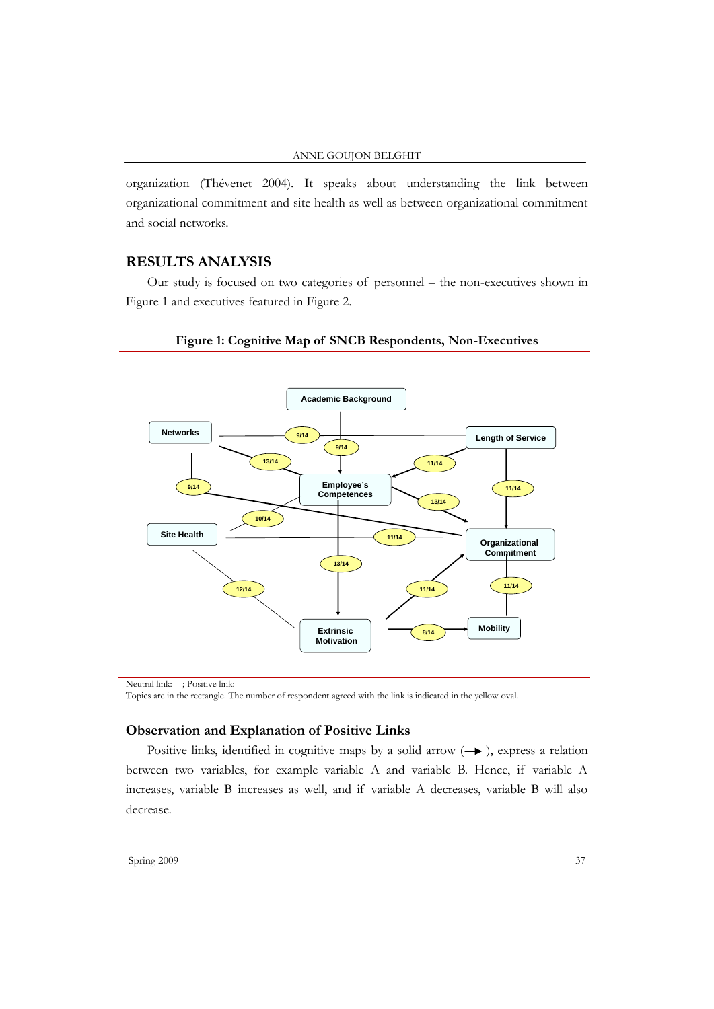organization (Thévenet 2004). It speaks about understanding the link between organizational commitment and site health as well as between organizational commitment and social networks.

# **RESULTS ANALYSIS**

Our study is focused on two categories of personnel – the non-executives shown in Figure 1 and executives featured in Figure 2.



## **Figure 1: Cognitive Map of SNCB Respondents, Non-Executives**

Neutral link:  $\delta$  ; Positive link: Ç

# **Observation and Explanation of Positive Links**

Positive links, identified in cognitive maps by a solid arrow  $(\rightarrow)$ , express a relation between two variables, for example variable A and variable B. Hence, if variable A increases, variable B increases as well, and if variable A decreases, variable B will also decrease.

Topics are in the rectangle. The number of respondent agreed with the link is indicated in the yellow oval.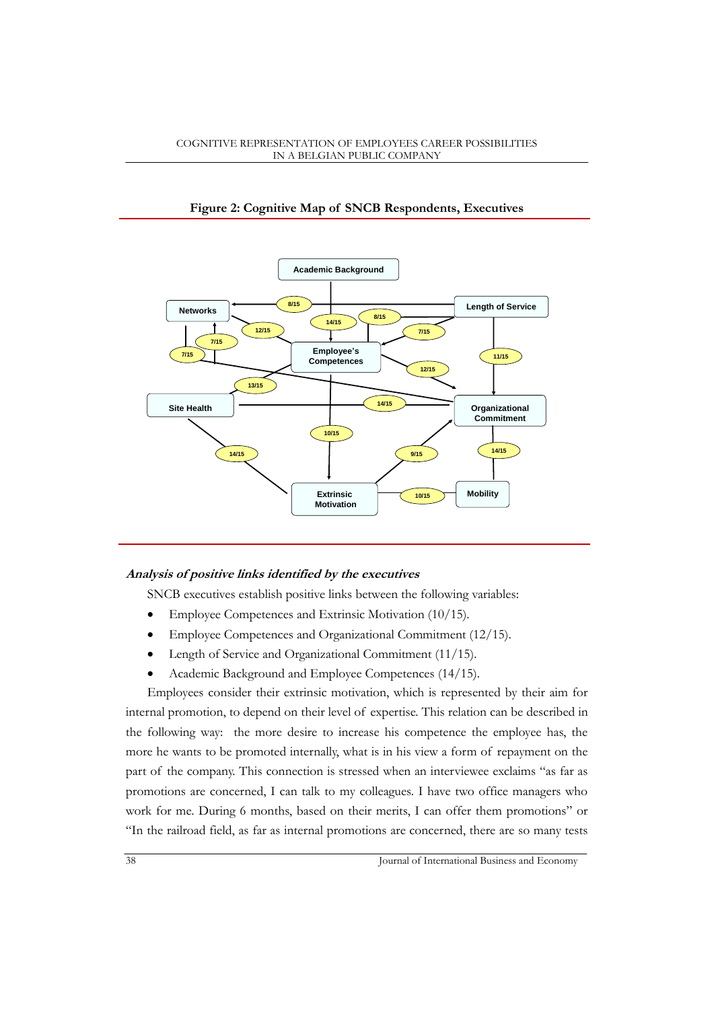

# **Figure 2: Cognitive Map of SNCB Respondents, Executives**

## **Analysis of positive links identified by the executives**

SNCB executives establish positive links between the following variables:

- Employee Competences and Extrinsic Motivation (10/15).
- Employee Competences and Organizational Commitment (12/15).
- Length of Service and Organizational Commitment (11/15).
- Academic Background and Employee Competences (14/15).

Employees consider their extrinsic motivation, which is represented by their aim for internal promotion, to depend on their level of expertise. This relation can be described in the following way: the more desire to increase his competence the employee has, the more he wants to be promoted internally, what is in his view a form of repayment on the part of the company. This connection is stressed when an interviewee exclaims "as far as promotions are concerned, I can talk to my colleagues. I have two office managers who work for me. During 6 months, based on their merits, I can offer them promotions" or "In the railroad field, as far as internal promotions are concerned, there are so many tests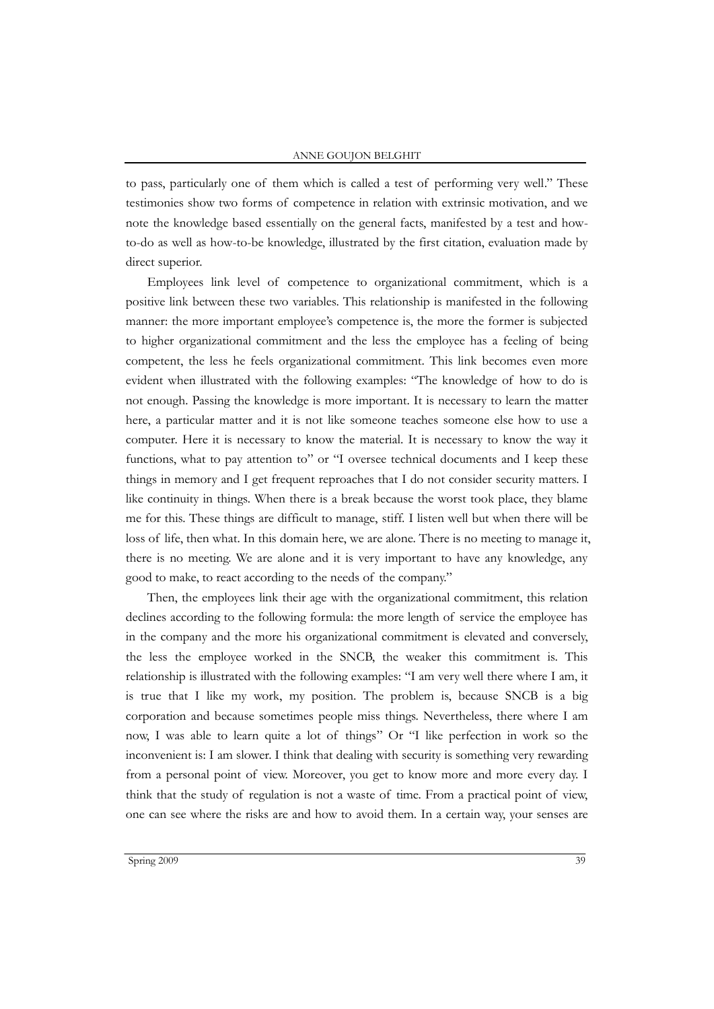#### ANNE GOUJON BELGHIT

to pass, particularly one of them which is called a test of performing very well." These testimonies show two forms of competence in relation with extrinsic motivation, and we note the knowledge based essentially on the general facts, manifested by a test and howto-do as well as how-to-be knowledge, illustrated by the first citation, evaluation made by direct superior.

Employees link level of competence to organizational commitment, which is a positive link between these two variables. This relationship is manifested in the following manner: the more important employee's competence is, the more the former is subjected to higher organizational commitment and the less the employee has a feeling of being competent, the less he feels organizational commitment. This link becomes even more evident when illustrated with the following examples: "The knowledge of how to do is not enough. Passing the knowledge is more important. It is necessary to learn the matter here, a particular matter and it is not like someone teaches someone else how to use a computer. Here it is necessary to know the material. It is necessary to know the way it functions, what to pay attention to" or "I oversee technical documents and I keep these things in memory and I get frequent reproaches that I do not consider security matters. I like continuity in things. When there is a break because the worst took place, they blame me for this. These things are difficult to manage, stiff. I listen well but when there will be loss of life, then what. In this domain here, we are alone. There is no meeting to manage it, there is no meeting. We are alone and it is very important to have any knowledge, any good to make, to react according to the needs of the company."

Then, the employees link their age with the organizational commitment, this relation declines according to the following formula: the more length of service the employee has in the company and the more his organizational commitment is elevated and conversely, the less the employee worked in the SNCB, the weaker this commitment is. This relationship is illustrated with the following examples: "I am very well there where I am, it is true that I like my work, my position. The problem is, because SNCB is a big corporation and because sometimes people miss things. Nevertheless, there where I am now, I was able to learn quite a lot of things" Or "I like perfection in work so the inconvenient is: I am slower. I think that dealing with security is something very rewarding from a personal point of view. Moreover, you get to know more and more every day. I think that the study of regulation is not a waste of time. From a practical point of view, one can see where the risks are and how to avoid them. In a certain way, your senses are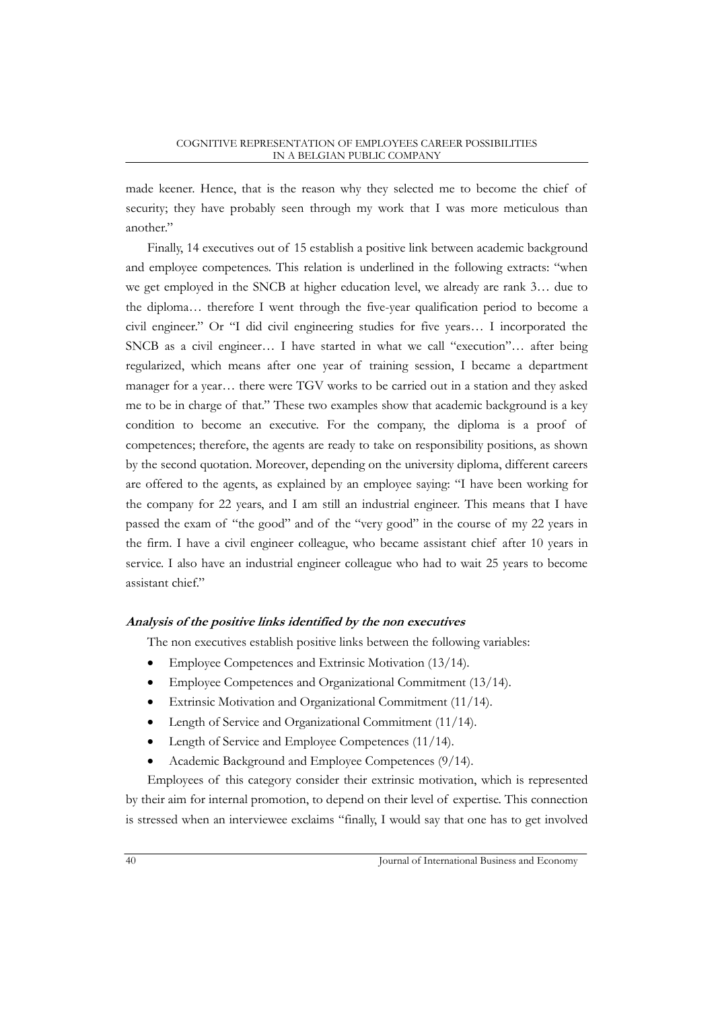made keener. Hence, that is the reason why they selected me to become the chief of security; they have probably seen through my work that I was more meticulous than another."

Finally, 14 executives out of 15 establish a positive link between academic background and employee competences. This relation is underlined in the following extracts: "when we get employed in the SNCB at higher education level, we already are rank 3… due to the diploma… therefore I went through the five-year qualification period to become a civil engineer." Or "I did civil engineering studies for five years… I incorporated the SNCB as a civil engineer… I have started in what we call "execution"… after being regularized, which means after one year of training session, I became a department manager for a year… there were TGV works to be carried out in a station and they asked me to be in charge of that." These two examples show that academic background is a key condition to become an executive. For the company, the diploma is a proof of competences; therefore, the agents are ready to take on responsibility positions, as shown by the second quotation. Moreover, depending on the university diploma, different careers are offered to the agents, as explained by an employee saying: "I have been working for the company for 22 years, and I am still an industrial engineer. This means that I have passed the exam of "the good" and of the "very good" in the course of my 22 years in the firm. I have a civil engineer colleague, who became assistant chief after 10 years in service. I also have an industrial engineer colleague who had to wait 25 years to become assistant chief."

# **Analysis of the positive links identified by the non executives**

The non executives establish positive links between the following variables:

- Employee Competences and Extrinsic Motivation (13/14).
- Employee Competences and Organizational Commitment (13/14).
- Extrinsic Motivation and Organizational Commitment (11/14).
- Length of Service and Organizational Commitment (11/14).
- Length of Service and Employee Competences (11/14).
- Academic Background and Employee Competences (9/14).

Employees of this category consider their extrinsic motivation, which is represented by their aim for internal promotion, to depend on their level of expertise. This connection is stressed when an interviewee exclaims "finally, I would say that one has to get involved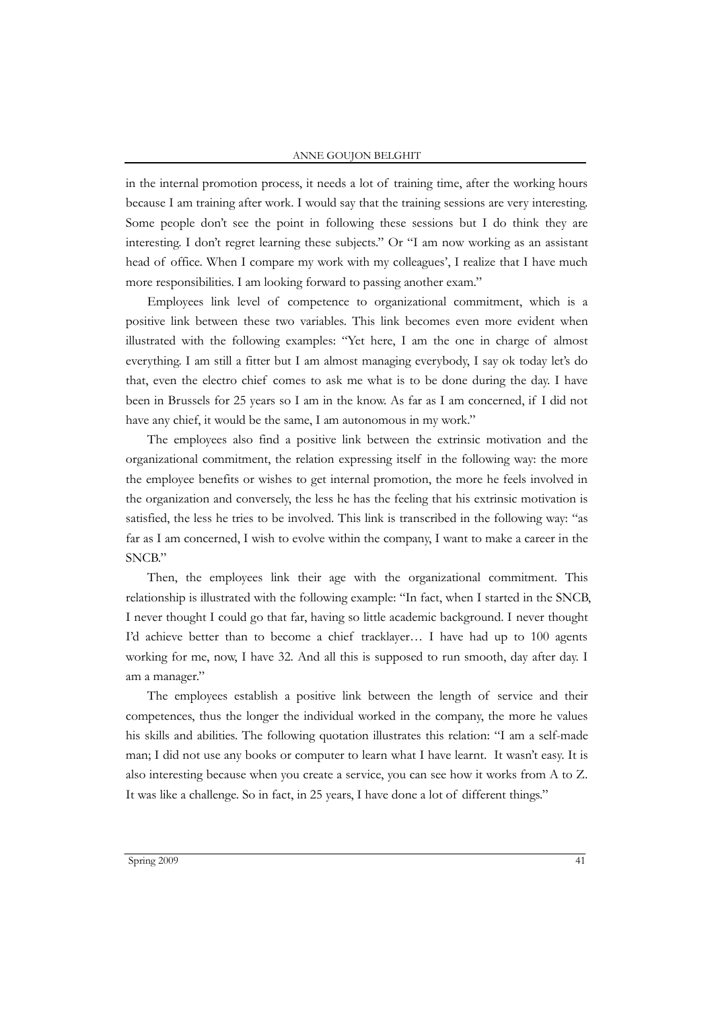in the internal promotion process, it needs a lot of training time, after the working hours because I am training after work. I would say that the training sessions are very interesting. Some people don't see the point in following these sessions but I do think they are interesting. I don't regret learning these subjects." Or "I am now working as an assistant head of office. When I compare my work with my colleagues', I realize that I have much more responsibilities. I am looking forward to passing another exam."

Employees link level of competence to organizational commitment, which is a positive link between these two variables. This link becomes even more evident when illustrated with the following examples: "Yet here, I am the one in charge of almost everything. I am still a fitter but I am almost managing everybody, I say ok today let's do that, even the electro chief comes to ask me what is to be done during the day. I have been in Brussels for 25 years so I am in the know. As far as I am concerned, if I did not have any chief, it would be the same, I am autonomous in my work."

The employees also find a positive link between the extrinsic motivation and the organizational commitment, the relation expressing itself in the following way: the more the employee benefits or wishes to get internal promotion, the more he feels involved in the organization and conversely, the less he has the feeling that his extrinsic motivation is satisfied, the less he tries to be involved. This link is transcribed in the following way: "as far as I am concerned, I wish to evolve within the company, I want to make a career in the SNCB."

Then, the employees link their age with the organizational commitment. This relationship is illustrated with the following example: "In fact, when I started in the SNCB, I never thought I could go that far, having so little academic background. I never thought I'd achieve better than to become a chief tracklayer… I have had up to 100 agents working for me, now, I have 32. And all this is supposed to run smooth, day after day. I am a manager."

The employees establish a positive link between the length of service and their competences, thus the longer the individual worked in the company, the more he values his skills and abilities. The following quotation illustrates this relation: "I am a self-made man; I did not use any books or computer to learn what I have learnt. It wasn't easy. It is also interesting because when you create a service, you can see how it works from A to Z. It was like a challenge. So in fact, in 25 years, I have done a lot of different things."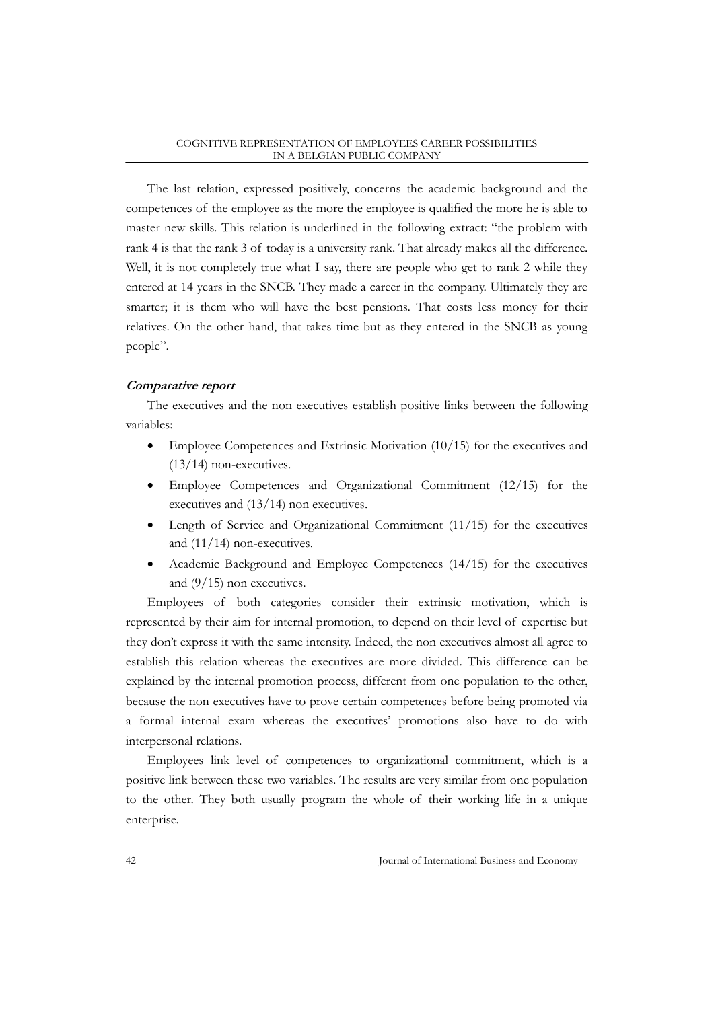The last relation, expressed positively, concerns the academic background and the competences of the employee as the more the employee is qualified the more he is able to master new skills. This relation is underlined in the following extract: "the problem with rank 4 is that the rank 3 of today is a university rank. That already makes all the difference. Well, it is not completely true what I say, there are people who get to rank 2 while they entered at 14 years in the SNCB. They made a career in the company. Ultimately they are smarter; it is them who will have the best pensions. That costs less money for their relatives. On the other hand, that takes time but as they entered in the SNCB as young people".

## **Comparative report**

The executives and the non executives establish positive links between the following variables:

- Employee Competences and Extrinsic Motivation (10/15) for the executives and  $(13/14)$  non-executives.
- Employee Competences and Organizational Commitment (12/15) for the executives and (13/14) non executives.
- Length of Service and Organizational Commitment (11/15) for the executives and (11/14) non-executives.
- Academic Background and Employee Competences (14/15) for the executives and (9/15) non executives.

Employees of both categories consider their extrinsic motivation, which is represented by their aim for internal promotion, to depend on their level of expertise but they don't express it with the same intensity. Indeed, the non executives almost all agree to establish this relation whereas the executives are more divided. This difference can be explained by the internal promotion process, different from one population to the other, because the non executives have to prove certain competences before being promoted via a formal internal exam whereas the executives' promotions also have to do with interpersonal relations.

Employees link level of competences to organizational commitment, which is a positive link between these two variables. The results are very similar from one population to the other. They both usually program the whole of their working life in a unique enterprise.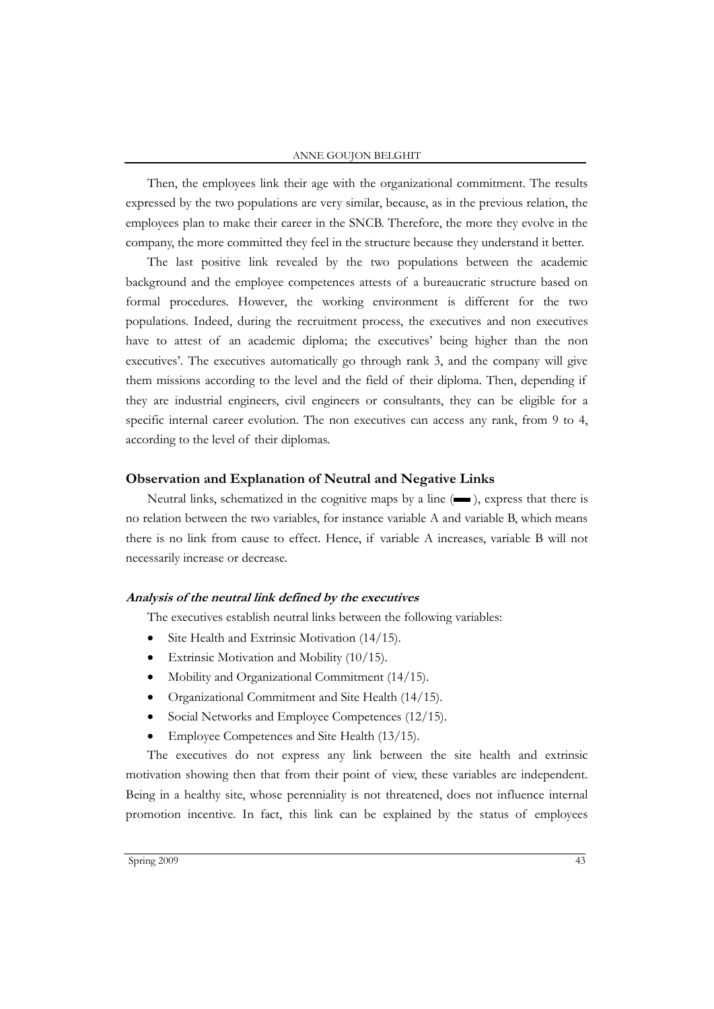Then, the employees link their age with the organizational commitment. The results expressed by the two populations are very similar, because, as in the previous relation, the employees plan to make their career in the SNCB. Therefore, the more they evolve in the company, the more committed they feel in the structure because they understand it better.

The last positive link revealed by the two populations between the academic background and the employee competences attests of a bureaucratic structure based on formal procedures. However, the working environment is different for the two populations. Indeed, during the recruitment process, the executives and non executives have to attest of an academic diploma; the executives' being higher than the non executives'. The executives automatically go through rank 3, and the company will give them missions according to the level and the field of their diploma. Then, depending if they are industrial engineers, civil engineers or consultants, they can be eligible for a specific internal career evolution. The non executives can access any rank, from 9 to 4, according to the level of their diplomas.

#### **Observation and Explanation of Neutral and Negative Links**

Neutral links, schematized in the cognitive maps by a line  $($ , express that there is no relation between the two variables, for instance variable A and variable B, which means there is no link from cause to effect. Hence, if variable A increases, variable B will not necessarily increase or decrease.

#### **Analysis of the neutral link defined by the executives**

The executives establish neutral links between the following variables:

- Site Health and Extrinsic Motivation (14/15).
- Extrinsic Motivation and Mobility (10/15).
- Mobility and Organizational Commitment (14/15).
- Organizational Commitment and Site Health (14/15).
- Social Networks and Employee Competences (12/15).
- Employee Competences and Site Health (13/15).

The executives do not express any link between the site health and extrinsic motivation showing then that from their point of view, these variables are independent. Being in a healthy site, whose perenniality is not threatened, does not influence internal promotion incentive. In fact, this link can be explained by the status of employees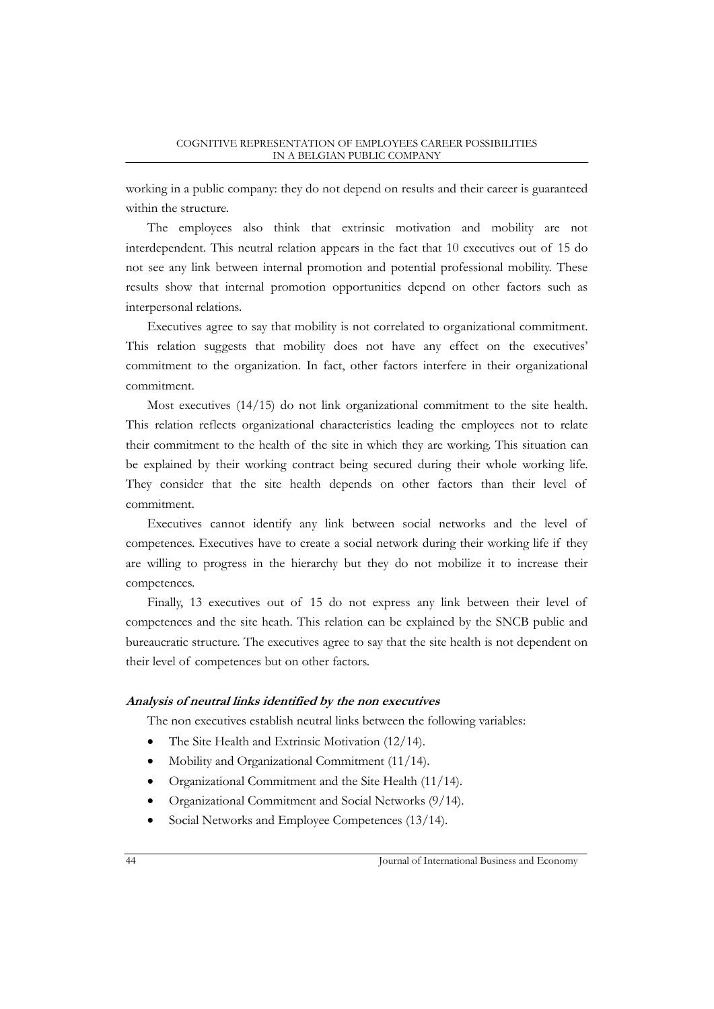working in a public company: they do not depend on results and their career is guaranteed within the structure.

The employees also think that extrinsic motivation and mobility are not interdependent. This neutral relation appears in the fact that 10 executives out of 15 do not see any link between internal promotion and potential professional mobility. These results show that internal promotion opportunities depend on other factors such as interpersonal relations.

Executives agree to say that mobility is not correlated to organizational commitment. This relation suggests that mobility does not have any effect on the executives' commitment to the organization. In fact, other factors interfere in their organizational commitment.

Most executives (14/15) do not link organizational commitment to the site health. This relation reflects organizational characteristics leading the employees not to relate their commitment to the health of the site in which they are working. This situation can be explained by their working contract being secured during their whole working life. They consider that the site health depends on other factors than their level of commitment.

Executives cannot identify any link between social networks and the level of competences. Executives have to create a social network during their working life if they are willing to progress in the hierarchy but they do not mobilize it to increase their competences.

Finally, 13 executives out of 15 do not express any link between their level of competences and the site heath. This relation can be explained by the SNCB public and bureaucratic structure. The executives agree to say that the site health is not dependent on their level of competences but on other factors.

### **Analysis of neutral links identified by the non executives**

The non executives establish neutral links between the following variables:

- The Site Health and Extrinsic Motivation (12/14).
- Mobility and Organizational Commitment (11/14).
- Organizational Commitment and the Site Health (11/14).
- Organizational Commitment and Social Networks (9/14).
- Social Networks and Employee Competences (13/14).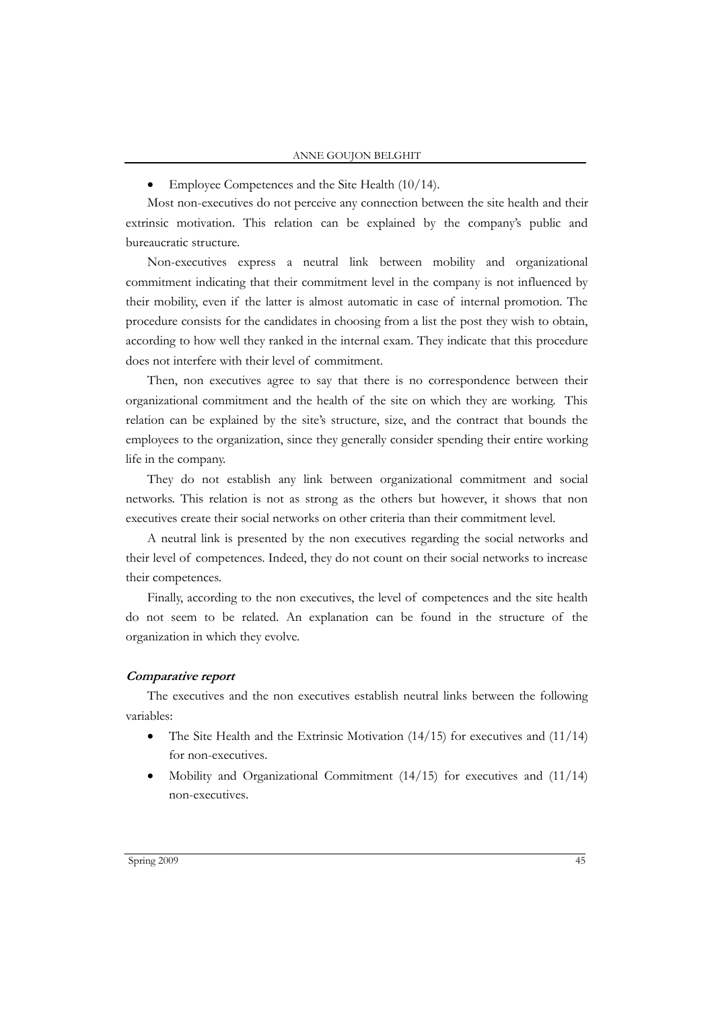• Employee Competences and the Site Health (10/14).

Most non-executives do not perceive any connection between the site health and their extrinsic motivation. This relation can be explained by the company's public and bureaucratic structure.

Non-executives express a neutral link between mobility and organizational commitment indicating that their commitment level in the company is not influenced by their mobility, even if the latter is almost automatic in case of internal promotion. The procedure consists for the candidates in choosing from a list the post they wish to obtain, according to how well they ranked in the internal exam. They indicate that this procedure does not interfere with their level of commitment.

Then, non executives agree to say that there is no correspondence between their organizational commitment and the health of the site on which they are working. This relation can be explained by the site's structure, size, and the contract that bounds the employees to the organization, since they generally consider spending their entire working life in the company.

They do not establish any link between organizational commitment and social networks. This relation is not as strong as the others but however, it shows that non executives create their social networks on other criteria than their commitment level.

A neutral link is presented by the non executives regarding the social networks and their level of competences. Indeed, they do not count on their social networks to increase their competences.

Finally, according to the non executives, the level of competences and the site health do not seem to be related. An explanation can be found in the structure of the organization in which they evolve.

## **Comparative report**

The executives and the non executives establish neutral links between the following variables:

- The Site Health and the Extrinsic Motivation  $(14/15)$  for executives and  $(11/14)$ for non-executives.
- Mobility and Organizational Commitment  $(14/15)$  for executives and  $(11/14)$ non-executives.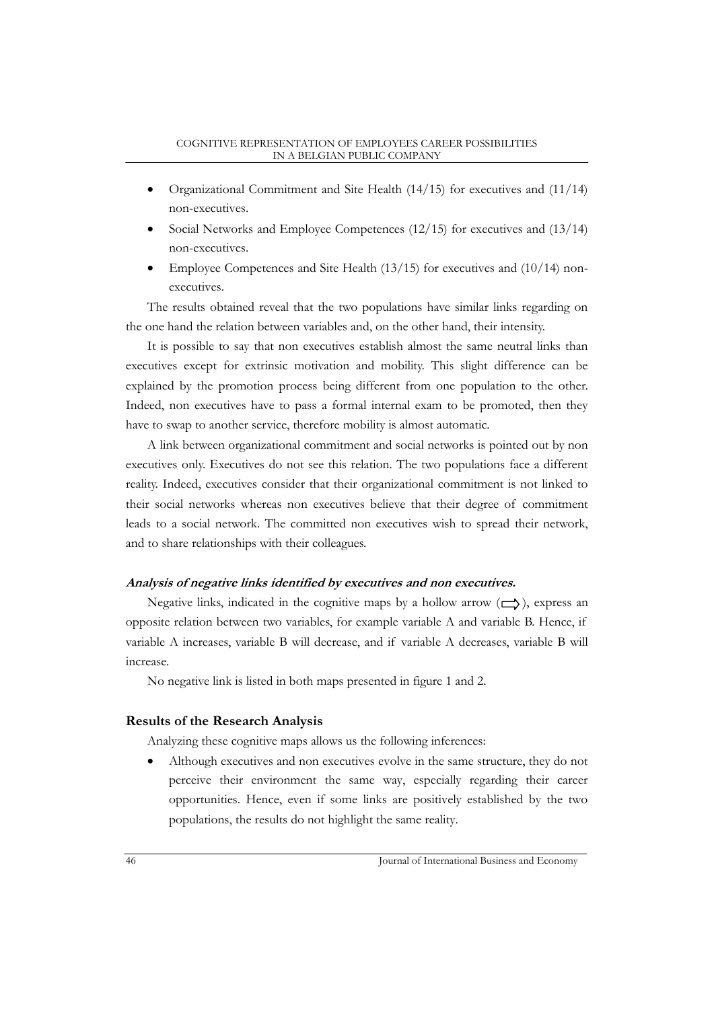- Organizational Commitment and Site Health (14/15) for executives and (11/14) non-executives.
- Social Networks and Employee Competences (12/15) for executives and (13/14) non-executives.
- Employee Competences and Site Health (13/15) for executives and (10/14) nonexecutives.

The results obtained reveal that the two populations have similar links regarding on the one hand the relation between variables and, on the other hand, their intensity.

It is possible to say that non executives establish almost the same neutral links than executives except for extrinsic motivation and mobility. This slight difference can be explained by the promotion process being different from one population to the other. Indeed, non executives have to pass a formal internal exam to be promoted, then they have to swap to another service, therefore mobility is almost automatic.

A link between organizational commitment and social networks is pointed out by non executives only. Executives do not see this relation. The two populations face a different reality. Indeed, executives consider that their organizational commitment is not linked to their social networks whereas non executives believe that their degree of commitment leads to a social network. The committed non executives wish to spread their network, and to share relationships with their colleagues.

## **Analysis of negative links identified by executives and non executives.**

Negative links, indicated in the cognitive maps by a hollow arrow  $(\Box)$ , express an opposite relation between two variables, for example variable A and variable B. Hence, if variable A increases, variable B will decrease, and if variable A decreases, variable B will increase.

No negative link is listed in both maps presented in figure 1 and 2.

## **Results of the Research Analysis**

Analyzing these cognitive maps allows us the following inferences:

 Although executives and non executives evolve in the same structure, they do not perceive their environment the same way, especially regarding their career opportunities. Hence, even if some links are positively established by the two populations, the results do not highlight the same reality.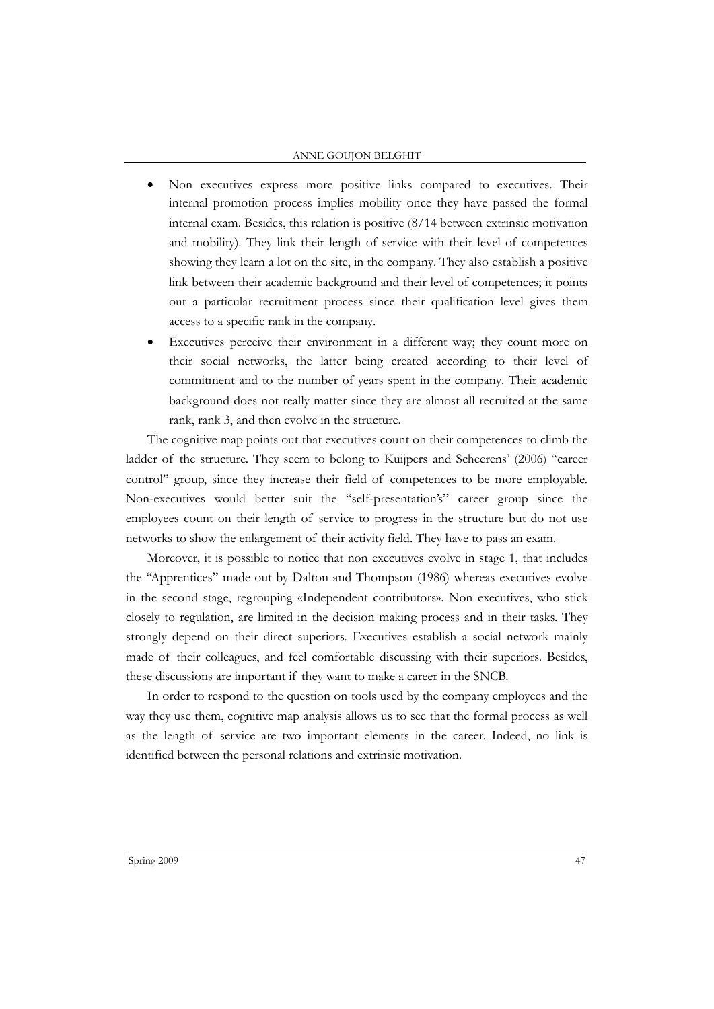- Non executives express more positive links compared to executives. Their internal promotion process implies mobility once they have passed the formal internal exam. Besides, this relation is positive (8/14 between extrinsic motivation and mobility). They link their length of service with their level of competences showing they learn a lot on the site, in the company. They also establish a positive link between their academic background and their level of competences; it points out a particular recruitment process since their qualification level gives them access to a specific rank in the company.
- Executives perceive their environment in a different way; they count more on their social networks, the latter being created according to their level of commitment and to the number of years spent in the company. Their academic background does not really matter since they are almost all recruited at the same rank, rank 3, and then evolve in the structure.

The cognitive map points out that executives count on their competences to climb the ladder of the structure. They seem to belong to Kuijpers and Scheerens' (2006) "career control" group, since they increase their field of competences to be more employable. Non-executives would better suit the "self-presentation's" career group since the employees count on their length of service to progress in the structure but do not use networks to show the enlargement of their activity field. They have to pass an exam.

Moreover, it is possible to notice that non executives evolve in stage 1, that includes the "Apprentices" made out by Dalton and Thompson (1986) whereas executives evolve in the second stage, regrouping «Independent contributors». Non executives, who stick closely to regulation, are limited in the decision making process and in their tasks. They strongly depend on their direct superiors. Executives establish a social network mainly made of their colleagues, and feel comfortable discussing with their superiors. Besides, these discussions are important if they want to make a career in the SNCB.

In order to respond to the question on tools used by the company employees and the way they use them, cognitive map analysis allows us to see that the formal process as well as the length of service are two important elements in the career. Indeed, no link is identified between the personal relations and extrinsic motivation.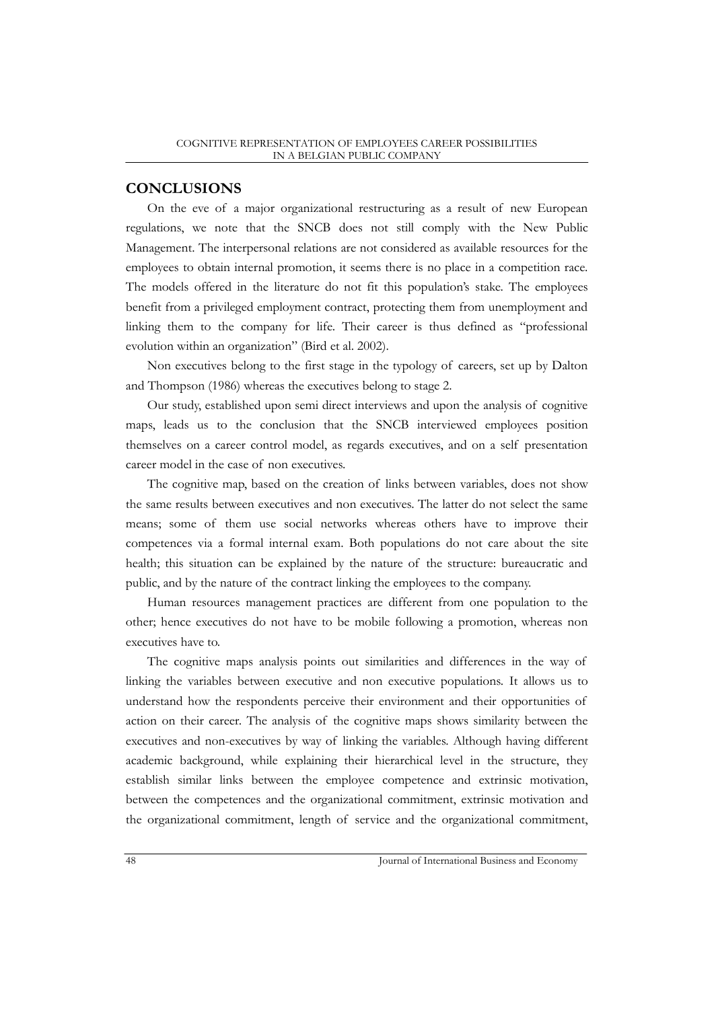# **CONCLUSIONS**

On the eve of a major organizational restructuring as a result of new European regulations, we note that the SNCB does not still comply with the New Public Management. The interpersonal relations are not considered as available resources for the employees to obtain internal promotion, it seems there is no place in a competition race. The models offered in the literature do not fit this population's stake. The employees benefit from a privileged employment contract, protecting them from unemployment and linking them to the company for life. Their career is thus defined as "professional evolution within an organization" (Bird et al. 2002).

Non executives belong to the first stage in the typology of careers, set up by Dalton and Thompson (1986) whereas the executives belong to stage 2.

Our study, established upon semi direct interviews and upon the analysis of cognitive maps, leads us to the conclusion that the SNCB interviewed employees position themselves on a career control model, as regards executives, and on a self presentation career model in the case of non executives.

The cognitive map, based on the creation of links between variables, does not show the same results between executives and non executives. The latter do not select the same means; some of them use social networks whereas others have to improve their competences via a formal internal exam. Both populations do not care about the site health; this situation can be explained by the nature of the structure: bureaucratic and public, and by the nature of the contract linking the employees to the company.

Human resources management practices are different from one population to the other; hence executives do not have to be mobile following a promotion, whereas non executives have to.

The cognitive maps analysis points out similarities and differences in the way of linking the variables between executive and non executive populations. It allows us to understand how the respondents perceive their environment and their opportunities of action on their career. The analysis of the cognitive maps shows similarity between the executives and non-executives by way of linking the variables. Although having different academic background, while explaining their hierarchical level in the structure, they establish similar links between the employee competence and extrinsic motivation, between the competences and the organizational commitment, extrinsic motivation and the organizational commitment, length of service and the organizational commitment,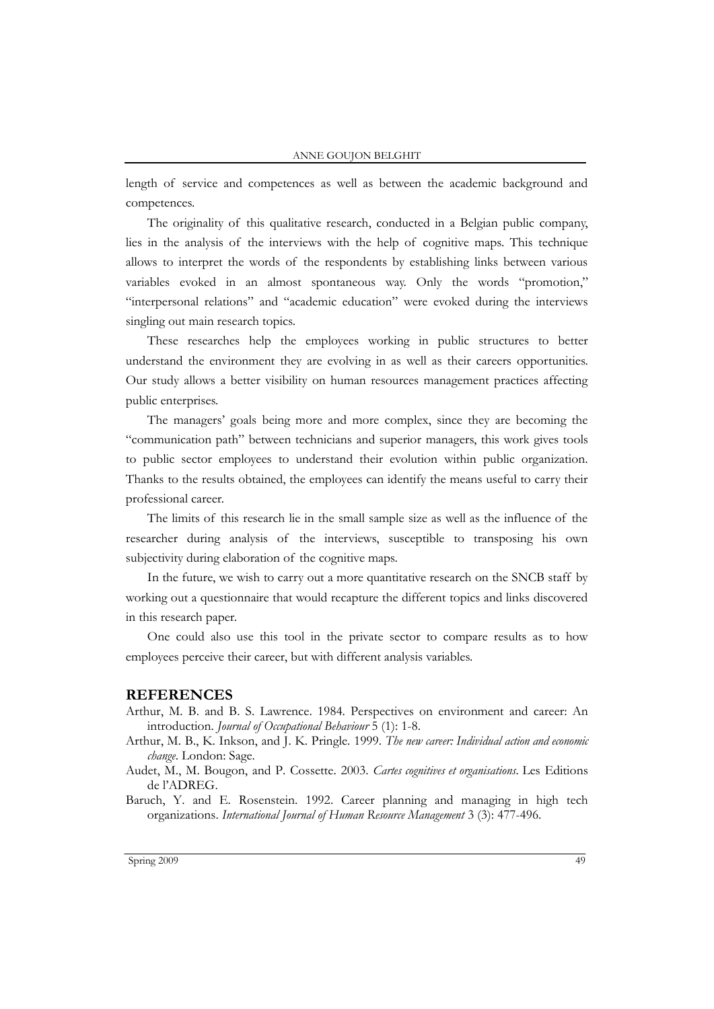#### ANNE GOUJON BELGHIT

length of service and competences as well as between the academic background and competences.

The originality of this qualitative research, conducted in a Belgian public company, lies in the analysis of the interviews with the help of cognitive maps. This technique allows to interpret the words of the respondents by establishing links between various variables evoked in an almost spontaneous way. Only the words "promotion," "interpersonal relations" and "academic education" were evoked during the interviews singling out main research topics.

These researches help the employees working in public structures to better understand the environment they are evolving in as well as their careers opportunities. Our study allows a better visibility on human resources management practices affecting public enterprises.

The managers' goals being more and more complex, since they are becoming the "communication path" between technicians and superior managers, this work gives tools to public sector employees to understand their evolution within public organization. Thanks to the results obtained, the employees can identify the means useful to carry their professional career.

The limits of this research lie in the small sample size as well as the influence of the researcher during analysis of the interviews, susceptible to transposing his own subjectivity during elaboration of the cognitive maps.

In the future, we wish to carry out a more quantitative research on the SNCB staff by working out a questionnaire that would recapture the different topics and links discovered in this research paper.

One could also use this tool in the private sector to compare results as to how employees perceive their career, but with different analysis variables.

#### **REFERENCES**

Arthur, M. B. and B. S. Lawrence. 1984. Perspectives on environment and career: An introduction. *Journal of Occupational Behaviour* 5 (1): 1-8.

- Arthur, M. B., K. Inkson, and J. K. Pringle. 1999. *The new career: Individual action and economic change*. London: Sage.
- Audet, M., M. Bougon, and P. Cossette. 2003. *Cartes cognitives et organisations.* Les Editions de l'ADREG.
- Baruch, Y. and E. Rosenstein. 1992. Career planning and managing in high tech organizations. *International Journal of Human Resource Management* 3 (3): 477-496.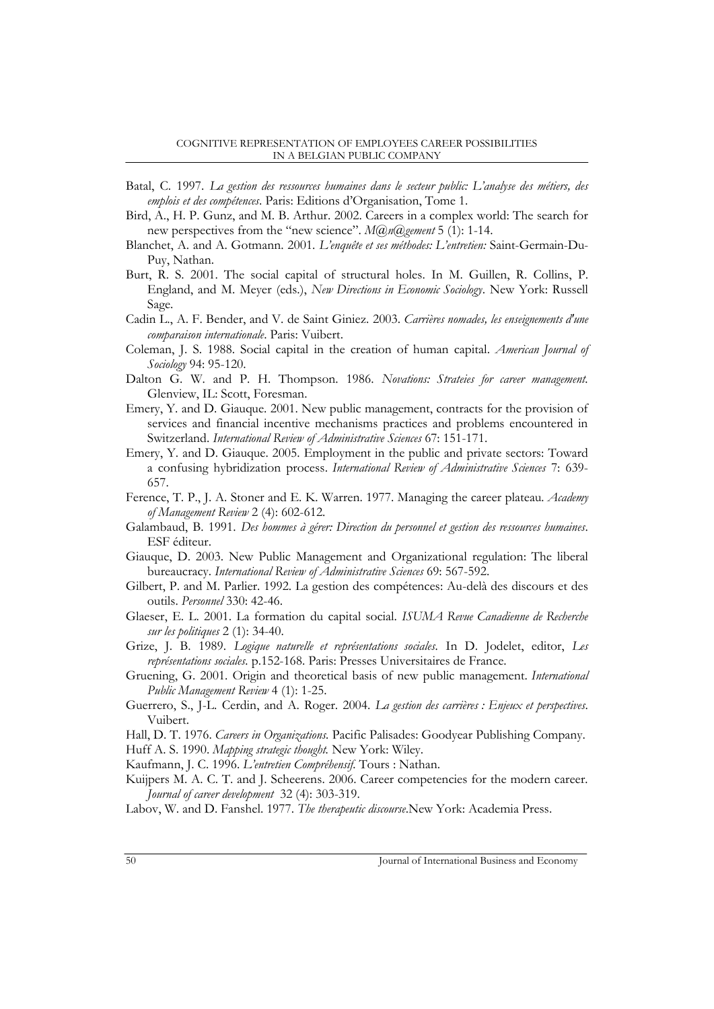- Batal, C. 1997. *La gestion des ressources humaines dans le secteur public: L'analyse des métiers, des emplois et des compétences*. Paris: Editions d'Organisation, Tome 1.
- Bird, A., H. P. Gunz, and M. B. Arthur. 2002. Careers in a complex world: The search for new perspectives from the "new science". *M@n@gement* 5 (1): 1-14.
- Blanchet, A. and A. Gotmann. 2001. *L'enquête et ses méthodes: L'entretien:* Saint-Germain-Du-Puy, Nathan.
- Burt, R. S. 2001. The social capital of structural holes. In M. Guillen, R. Collins, P. England, and M. Meyer (eds.), *New Directions in Economic Sociology*. New York: Russell Sage.
- Cadin L., A. F. Bender, and V. de Saint Giniez. 2003. *Carrières nomades, les enseignements d'une comparaison internationale*. Paris: Vuibert.
- Coleman, J. S. 1988. Social capital in the creation of human capital. *American Journal of Sociology* 94: 95-120.
- Dalton G. W. and P. H. Thompson. 1986. *Novations: Strateies for career management.*  Glenview, IL: Scott, Foresman.
- Emery, Y. and D. Giauque. 2001. New public management, contracts for the provision of services and financial incentive mechanisms practices and problems encountered in Switzerland. *International Review of Administrative Sciences* 67: 151-171.
- Emery, Y. and D. Giauque. 2005. Employment in the public and private sectors: Toward a confusing hybridization process. *International Review of Administrative Sciences* 7: 639- 657.
- Ference, T. P., J. A. Stoner and E. K. Warren. 1977. Managing the career plateau*. Academy of Management Review* 2 (4): 602-612.
- Galambaud, B. 1991. *Des hommes à gérer: Direction du personnel et gestion des ressources humaines*. ESF éditeur.
- Giauque, D. 2003. New Public Management and Organizational regulation: The liberal bureaucracy. *International Review of Administrative Sciences* 69: 567-592.
- Gilbert, P. and M. Parlier. 1992. La gestion des compétences: Au-delà des discours et des outils. *Personnel* 330: 42-46.
- Glaeser, E. L. 2001. La formation du capital social. *ISUMA Revue Canadienne de Recherche sur les politiques* 2 (1): 34-40.
- Grize, J. B. 1989. *Logique naturelle et représentations sociales.* In D. Jodelet, editor, *Les représentations sociales.* p.152-168. Paris: Presses Universitaires de France.
- Gruening, G. 2001. Origin and theoretical basis of new public management. *International Public Management Review* 4 (1): 1-25.
- Guerrero, S., J-L. Cerdin, and A. Roger. 2004. *La gestion des carrières : Enjeux et perspectives*. Vuibert.
- Hall, D. T. 1976. *Careers in Organizations.* Pacific Palisades: Goodyear Publishing Company.
- Huff A. S. 1990. *Mapping strategic thought.* New York: Wiley.

Kaufmann, J. C. 1996. *L'entretien Compréhensif.* Tours : Nathan.

Kuijpers M. A. C. T. and J. Scheerens. 2006. Career competencies for the modern career*. Journal of career development* 32 (4): 303-319.

Labov, W. and D. Fanshel. 1977. *The therapeutic discourse*.New York: Academia Press.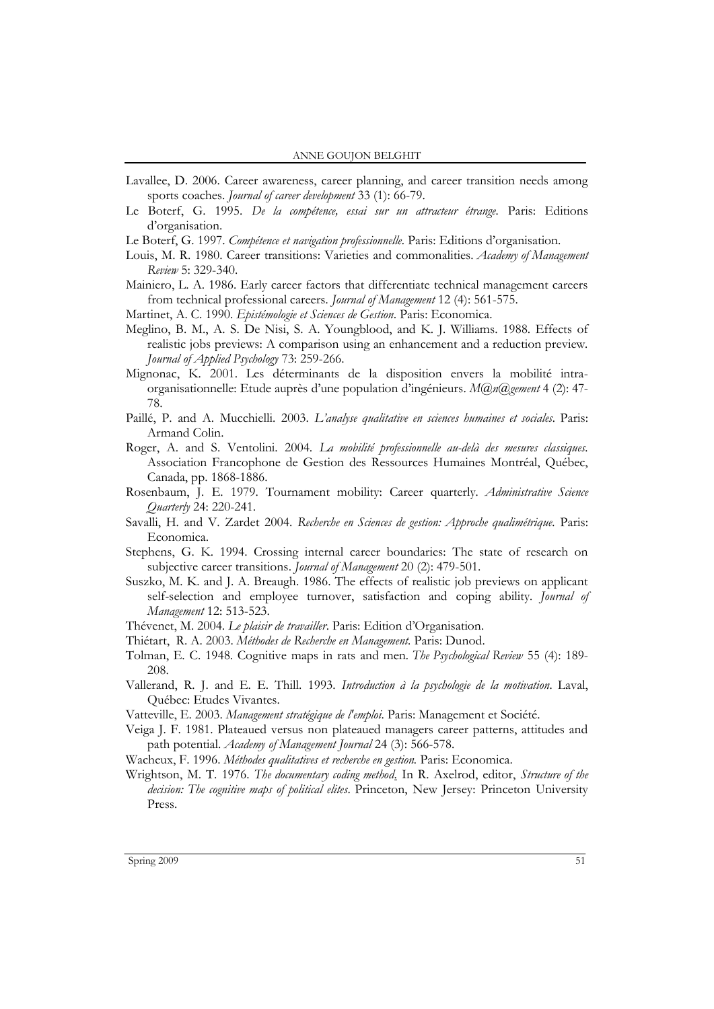- Lavallee, D. 2006. Career awareness, career planning, and career transition needs among sports coaches. *Journal of career development* 33 (1): 66-79.
- Le Boterf, G. 1995. *De la compétence, essai sur un attracteur étrange.* Paris: Editions d'organisation.
- Le Boterf, G. 1997. *Compétence et navigation professionnelle.* Paris: Editions d'organisation.
- Louis, M. R. 1980. Career transitions: Varieties and commonalities. *Academy of Management Review* 5: 329-340.
- Mainiero, L. A. 1986. Early career factors that differentiate technical management careers from technical professional careers*. Journal of Management* 12 (4): 561-575.
- Martinet, A. C. 1990. *Epistémologie et Sciences de Gestion*. Paris: Economica.
- Meglino, B. M., A. S. De Nisi, S. A. Youngblood, and K. J. Williams. 1988. Effects of realistic jobs previews: A comparison using an enhancement and a reduction preview*. Journal of Applied Psychology* 73: 259-266.
- Mignonac, K. 2001. Les déterminants de la disposition envers la mobilité intraorganisationnelle: Etude auprès d'une population d'ingénieurs. *M@n@gement* 4 (2): 47- 78.
- Paillé, P. and A. Mucchielli. 2003. *L'analyse qualitative en sciences humaines et sociales.* Paris: Armand Colin.
- Roger, A. and S. Ventolini. 2004. *La mobilité professionnelle au-delà des mesures classiques.* Association Francophone de Gestion des Ressources Humaines Montréal, Québec, Canada, pp. 1868-1886.
- Rosenbaum, J. E. 1979. Tournament mobility: Career quarterly*. Administrative Science Quarterly* 24: 220-241.
- Savalli, H. and V. Zardet 2004. *Recherche en Sciences de gestion: Approche qualimétrique.* Paris: Economica.
- Stephens, G. K. 1994. Crossing internal career boundaries: The state of research on subjective career transitions. *Journal of Management* 20 (2): 479-501.
- Suszko, M. K. and J. A. Breaugh. 1986. The effects of realistic job previews on applicant self-selection and employee turnover, satisfaction and coping ability*. Journal of Management* 12: 513-523.
- Thévenet, M. 2004. *Le plaisir de travailler*. Paris: Edition d'Organisation.
- Thiétart, R. A. 2003. *Méthodes de Recherche en Management.* Paris: Dunod.
- Tolman, E. C. 1948. Cognitive maps in rats and men*. The Psychological Review* 55 (4): 189- 208.
- Vallerand, R. J. and E. E. Thill. 1993. *Introduction à la psychologie de la motivation.* Laval, Québec: Etudes Vivantes.
- Vatteville, E. 2003. *Management stratégique de l'emploi*. Paris: Management et Société.
- Veiga J. F. 1981. Plateaued versus non plateaued managers career patterns, attitudes and path potential. *Academy of Management Journal* 24 (3): 566-578.
- Wacheux, F. 1996. *Méthodes qualitatives et recherche en gestion.* Paris: Economica.
- Wrightson, M. T. 1976. *The documentary coding method*. In R. Axelrod, editor, *Structure of the decision: The cognitive maps of political elites*. Princeton, New Jersey: Princeton University Press.